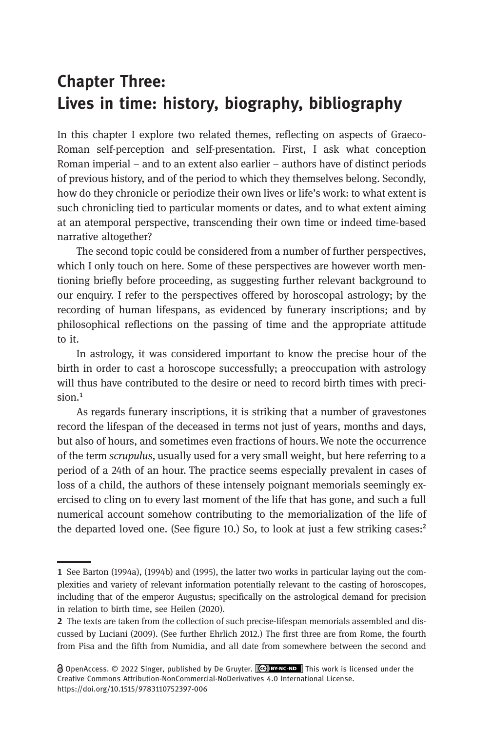# Chapter Three: Lives in time: history, biography, bibliography

In this chapter I explore two related themes, reflecting on aspects of Graeco-Roman self-perception and self-presentation. First, I ask what conception Roman imperial – and to an extent also earlier – authors have of distinct periods of previous history, and of the period to which they themselves belong. Secondly, how do they chronicle or periodize their own lives or life's work: to what extent is such chronicling tied to particular moments or dates, and to what extent aiming at an atemporal perspective, transcending their own time or indeed time-based narrative altogether?

The second topic could be considered from a number of further perspectives, which I only touch on here. Some of these perspectives are however worth mentioning briefly before proceeding, as suggesting further relevant background to our enquiry. I refer to the perspectives offered by horoscopal astrology; by the recording of human lifespans, as evidenced by funerary inscriptions; and by philosophical reflections on the passing of time and the appropriate attitude to it.

In astrology, it was considered important to know the precise hour of the birth in order to cast a horoscope successfully; a preoccupation with astrology will thus have contributed to the desire or need to record birth times with preci $sion.<sup>1</sup>$ 

As regards funerary inscriptions, it is striking that a number of gravestones record the lifespan of the deceased in terms not just of years, months and days, but also of hours, and sometimes even fractions of hours.We note the occurrence of the term scrupulus, usually used for a very small weight, but here referring to a period of a 24th of an hour. The practice seems especially prevalent in cases of loss of a child, the authors of these intensely poignant memorials seemingly exercised to cling on to every last moment of the life that has gone, and such a full numerical account somehow contributing to the memorialization of the life of the departed loved one. (See figure 10.) So, to look at just a few striking cases:<sup>2</sup>

<sup>1</sup> See Barton (1994a), (1994b) and (1995), the latter two works in particular laying out the complexities and variety of relevant information potentially relevant to the casting of horoscopes, including that of the emperor Augustus; specifically on the astrological demand for precision in relation to birth time, see Heilen (2020).

<sup>2</sup> The texts are taken from the collection of such precise-lifespan memorials assembled and discussed by Luciani (2009). (See further Ehrlich 2012.) The first three are from Rome, the fourth from Pisa and the fifth from Numidia, and all date from somewhere between the second and

**a** OpenAccess. © 2022 Singer, published by De Gruyter. (**CC) BY-NC-ND** This work is licensed under the Creative Commons Attribution-NonCommercial-NoDerivatives 4.0 International License. https://doi.org/10.1515/9783110752397-006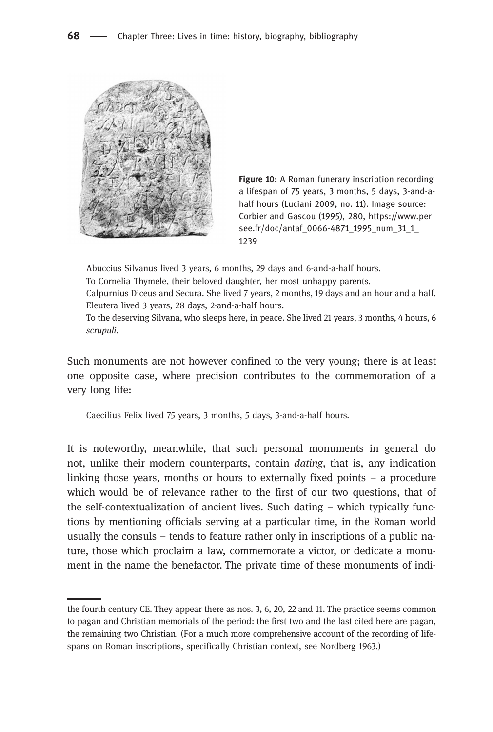



Abuccius Silvanus lived 3 years, 6 months, 29 days and 6-and-a-half hours.

To Cornelia Thymele, their beloved daughter, her most unhappy parents.

Calpurnius Diceus and Secura. She lived 7 years, 2 months, 19 days and an hour and a half. Eleutera lived 3 years, 28 days, 2-and-a-half hours.

To the deserving Silvana, who sleeps here, in peace. She lived 21 years, 3 months, 4 hours, 6 scrupuli.

Such monuments are not however confined to the very young; there is at least one opposite case, where precision contributes to the commemoration of a very long life:

Caecilius Felix lived 75 years, 3 months, 5 days, 3-and-a-half hours.

It is noteworthy, meanwhile, that such personal monuments in general do not, unlike their modern counterparts, contain dating, that is, any indication linking those years, months or hours to externally fixed points – a procedure which would be of relevance rather to the first of our two questions, that of the self-contextualization of ancient lives. Such dating – which typically functions by mentioning officials serving at a particular time, in the Roman world usually the consuls – tends to feature rather only in inscriptions of a public nature, those which proclaim a law, commemorate a victor, or dedicate a monument in the name the benefactor. The private time of these monuments of indi-

the fourth century CE. They appear there as nos. 3, 6, 20, 22 and 11. The practice seems common to pagan and Christian memorials of the period: the first two and the last cited here are pagan, the remaining two Christian. (For a much more comprehensive account of the recording of lifespans on Roman inscriptions, specifically Christian context, see Nordberg 1963.)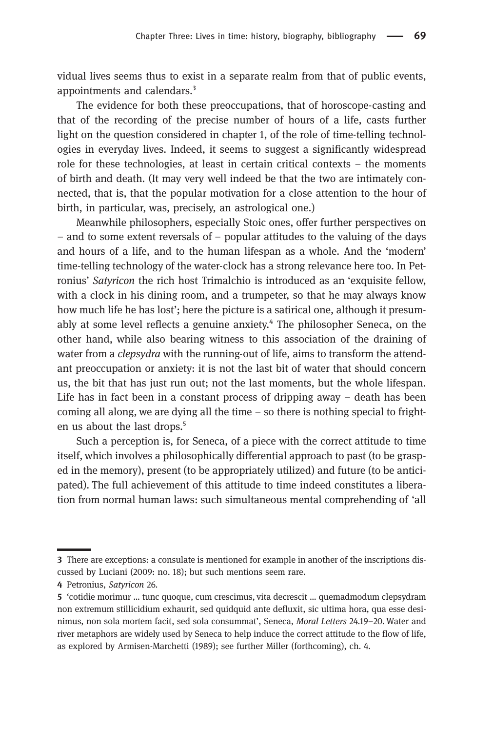vidual lives seems thus to exist in a separate realm from that of public events, appointments and calendars.<sup>3</sup>

The evidence for both these preoccupations, that of horoscope-casting and that of the recording of the precise number of hours of a life, casts further light on the question considered in chapter 1, of the role of time-telling technologies in everyday lives. Indeed, it seems to suggest a significantly widespread role for these technologies, at least in certain critical contexts – the moments of birth and death. (It may very well indeed be that the two are intimately connected, that is, that the popular motivation for a close attention to the hour of birth, in particular, was, precisely, an astrological one.)

Meanwhile philosophers, especially Stoic ones, offer further perspectives on – and to some extent reversals of – popular attitudes to the valuing of the days and hours of a life, and to the human lifespan as a whole. And the 'modern' time-telling technology of the water-clock has a strong relevance here too. In Petronius' Satyricon the rich host Trimalchio is introduced as an 'exquisite fellow, with a clock in his dining room, and a trumpeter, so that he may always know how much life he has lost'; here the picture is a satirical one, although it presumably at some level reflects a genuine anxiety.<sup>4</sup> The philosopher Seneca, on the other hand, while also bearing witness to this association of the draining of water from a *clepsydra* with the running-out of life, aims to transform the attendant preoccupation or anxiety: it is not the last bit of water that should concern us, the bit that has just run out; not the last moments, but the whole lifespan. Life has in fact been in a constant process of dripping away – death has been coming all along, we are dying all the time  $-$  so there is nothing special to frighten us about the last drops.<sup>5</sup>

Such a perception is, for Seneca, of a piece with the correct attitude to time itself, which involves a philosophically differential approach to past (to be grasped in the memory), present (to be appropriately utilized) and future (to be anticipated). The full achievement of this attitude to time indeed constitutes a liberation from normal human laws: such simultaneous mental comprehending of 'all

There are exceptions: a consulate is mentioned for example in another of the inscriptions discussed by Luciani (2009: no. 18); but such mentions seem rare.

<sup>4</sup> Petronius, Satyricon 26.

'cotidie morimur … tunc quoque, cum crescimus, vita decrescit … quemadmodum clepsydram non extremum stillicidium exhaurit, sed quidquid ante defluxit, sic ultima hora, qua esse desinimus, non sola mortem facit, sed sola consummat', Seneca, Moral Letters 24.19–20. Water and river metaphors are widely used by Seneca to help induce the correct attitude to the flow of life, as explored by Armisen-Marchetti (1989); see further Miller (forthcoming), ch. 4.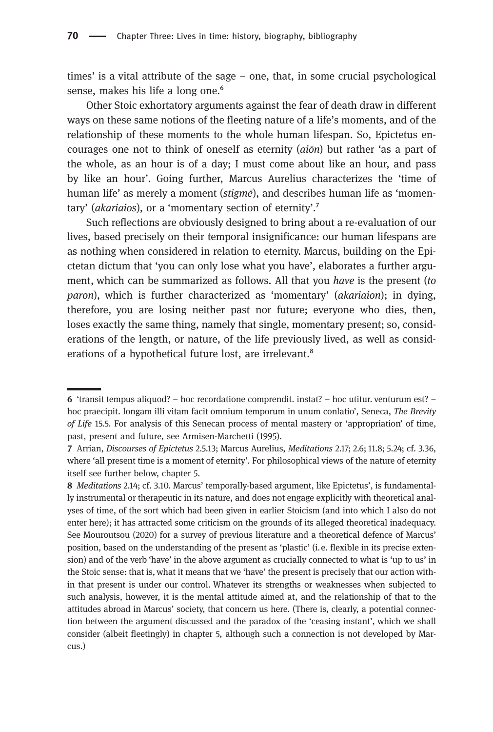times' is a vital attribute of the sage – one, that, in some crucial psychological sense, makes his life a long one.<sup>6</sup>

Other Stoic exhortatory arguments against the fear of death draw in different ways on these same notions of the fleeting nature of a life's moments, and of the relationship of these moments to the whole human lifespan. So, Epictetus encourages one not to think of oneself as eternity  $(a_i\bar{o}n)$  but rather 'as a part of the whole, as an hour is of a day; I must come about like an hour, and pass by like an hour'. Going further, Marcus Aurelius characterizes the 'time of human life' as merely a moment (*stigme*), and describes human life as 'momentary' (akariaios), or a 'momentary section of eternity'.<sup>7</sup>

Such reflections are obviously designed to bring about a re-evaluation of our lives, based precisely on their temporal insignificance: our human lifespans are as nothing when considered in relation to eternity. Marcus, building on the Epictetan dictum that 'you can only lose what you have', elaborates a further argument, which can be summarized as follows. All that you have is the present (to paron), which is further characterized as 'momentary' (akariaion); in dying, therefore, you are losing neither past nor future; everyone who dies, then, loses exactly the same thing, namely that single, momentary present; so, considerations of the length, or nature, of the life previously lived, as well as considerations of a hypothetical future lost, are irrelevant.<sup>8</sup>

<sup>6 &#</sup>x27;transit tempus aliquod? – hoc recordatione comprendit. instat? – hoc utitur. venturum est? – hoc praecipit. longam illi vitam facit omnium temporum in unum conlatio', Seneca, The Brevity of Life 15.5. For analysis of this Senecan process of mental mastery or 'appropriation' of time, past, present and future, see Armisen-Marchetti (1995).

Arrian, Discourses of Epictetus 2.5.13; Marcus Aurelius, Meditations 2.17; 2.6; 11.8; 5.24; cf. 3.36, where 'all present time is a moment of eternity'. For philosophical views of the nature of eternity itself see further below, chapter 5.

<sup>8</sup> Meditations 2.14; cf. 3.10. Marcus' temporally-based argument, like Epictetus', is fundamentally instrumental or therapeutic in its nature, and does not engage explicitly with theoretical analyses of time, of the sort which had been given in earlier Stoicism (and into which I also do not enter here); it has attracted some criticism on the grounds of its alleged theoretical inadequacy. See Mouroutsou (2020) for a survey of previous literature and a theoretical defence of Marcus' position, based on the understanding of the present as 'plastic' (i.e. flexible in its precise extension) and of the verb 'have' in the above argument as crucially connected to what is 'up to us' in the Stoic sense: that is, what it means that we 'have' the present is precisely that our action within that present is under our control. Whatever its strengths or weaknesses when subjected to such analysis, however, it is the mental attitude aimed at, and the relationship of that to the attitudes abroad in Marcus' society, that concern us here. (There is, clearly, a potential connection between the argument discussed and the paradox of the 'ceasing instant', which we shall consider (albeit fleetingly) in chapter 5, although such a connection is not developed by Marcus.)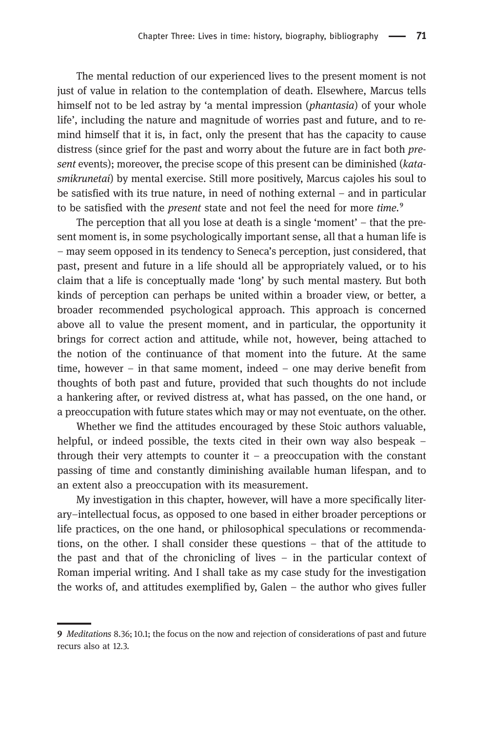The mental reduction of our experienced lives to the present moment is not just of value in relation to the contemplation of death. Elsewhere, Marcus tells himself not to be led astray by 'a mental impression (*phantasia*) of your whole life', including the nature and magnitude of worries past and future, and to remind himself that it is, in fact, only the present that has the capacity to cause distress (since grief for the past and worry about the future are in fact both present events); moreover, the precise scope of this present can be diminished (katasmikrunetai) by mental exercise. Still more positively, Marcus cajoles his soul to be satisfied with its true nature, in need of nothing external – and in particular to be satisfied with the *present* state and not feel the need for more time.<sup>9</sup>

The perception that all you lose at death is a single 'moment' – that the present moment is, in some psychologically important sense, all that a human life is – may seem opposed in its tendency to Seneca's perception, just considered, that past, present and future in a life should all be appropriately valued, or to his claim that a life is conceptually made 'long' by such mental mastery. But both kinds of perception can perhaps be united within a broader view, or better, a broader recommended psychological approach. This approach is concerned above all to value the present moment, and in particular, the opportunity it brings for correct action and attitude, while not, however, being attached to the notion of the continuance of that moment into the future. At the same time, however – in that same moment, indeed – one may derive benefit from thoughts of both past and future, provided that such thoughts do not include a hankering after, or revived distress at, what has passed, on the one hand, or a preoccupation with future states which may or may not eventuate, on the other.

Whether we find the attitudes encouraged by these Stoic authors valuable, helpful, or indeed possible, the texts cited in their own way also bespeak – through their very attempts to counter it – a preoccupation with the constant passing of time and constantly diminishing available human lifespan, and to an extent also a preoccupation with its measurement.

My investigation in this chapter, however, will have a more specifically literary–intellectual focus, as opposed to one based in either broader perceptions or life practices, on the one hand, or philosophical speculations or recommendations, on the other. I shall consider these questions – that of the attitude to the past and that of the chronicling of lives – in the particular context of Roman imperial writing. And I shall take as my case study for the investigation the works of, and attitudes exemplified by, Galen – the author who gives fuller

Meditations 8.36; 10.1; the focus on the now and rejection of considerations of past and future recurs also at 12.3.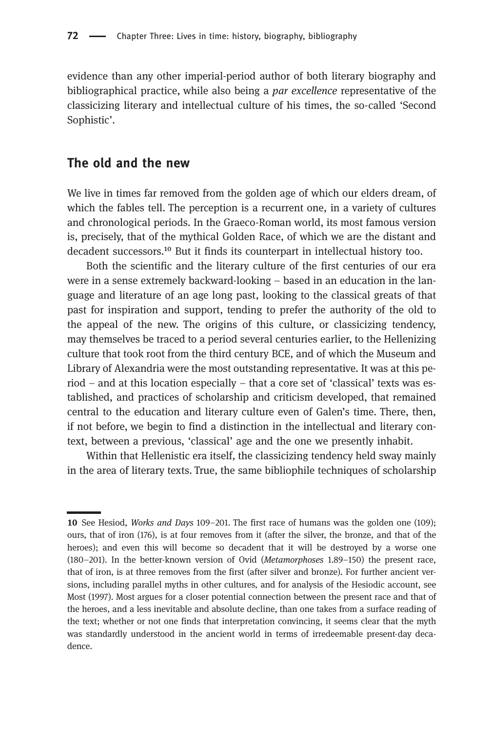evidence than any other imperial-period author of both literary biography and bibliographical practice, while also being a *par excellence* representative of the classicizing literary and intellectual culture of his times, the so-called 'Second Sophistic'.

### The old and the new

We live in times far removed from the golden age of which our elders dream, of which the fables tell. The perception is a recurrent one, in a variety of cultures and chronological periods. In the Graeco-Roman world, its most famous version is, precisely, that of the mythical Golden Race, of which we are the distant and decadent successors.<sup>10</sup> But it finds its counterpart in intellectual history too.

Both the scientific and the literary culture of the first centuries of our era were in a sense extremely backward-looking – based in an education in the language and literature of an age long past, looking to the classical greats of that past for inspiration and support, tending to prefer the authority of the old to the appeal of the new. The origins of this culture, or classicizing tendency, may themselves be traced to a period several centuries earlier, to the Hellenizing culture that took root from the third century BCE, and of which the Museum and Library of Alexandria were the most outstanding representative. It was at this pe $riod$  – and at this location especially – that a core set of 'classical' texts was established, and practices of scholarship and criticism developed, that remained central to the education and literary culture even of Galen's time. There, then, if not before, we begin to find a distinction in the intellectual and literary context, between a previous, 'classical' age and the one we presently inhabit.

Within that Hellenistic era itself, the classicizing tendency held sway mainly in the area of literary texts. True, the same bibliophile techniques of scholarship

<sup>10</sup> See Hesiod, Works and Days 109-201. The first race of humans was the golden one (109); ours, that of iron (176), is at four removes from it (after the silver, the bronze, and that of the heroes); and even this will become so decadent that it will be destroyed by a worse one (180–201). In the better-known version of Ovid (Metamorphoses 1.89–150) the present race, that of iron, is at three removes from the first (after silver and bronze). For further ancient versions, including parallel myths in other cultures, and for analysis of the Hesiodic account, see Most (1997). Most argues for a closer potential connection between the present race and that of the heroes, and a less inevitable and absolute decline, than one takes from a surface reading of the text; whether or not one finds that interpretation convincing, it seems clear that the myth was standardly understood in the ancient world in terms of irredeemable present-day decadence.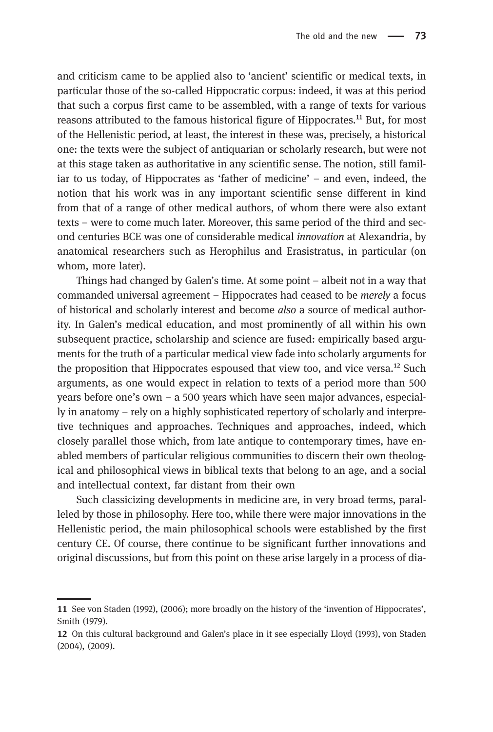and criticism came to be applied also to 'ancient' scientific or medical texts, in particular those of the so-called Hippocratic corpus: indeed, it was at this period that such a corpus first came to be assembled, with a range of texts for various reasons attributed to the famous historical figure of Hippocrates.<sup>11</sup> But, for most of the Hellenistic period, at least, the interest in these was, precisely, a historical one: the texts were the subject of antiquarian or scholarly research, but were not at this stage taken as authoritative in any scientific sense. The notion, still familiar to us today, of Hippocrates as 'father of medicine' – and even, indeed, the notion that his work was in any important scientific sense different in kind from that of a range of other medical authors, of whom there were also extant texts – were to come much later. Moreover, this same period of the third and second centuries BCE was one of considerable medical innovation at Alexandria, by anatomical researchers such as Herophilus and Erasistratus, in particular (on whom, more later).

Things had changed by Galen's time. At some point – albeit not in a way that commanded universal agreement – Hippocrates had ceased to be merely a focus of historical and scholarly interest and become also a source of medical authority. In Galen's medical education, and most prominently of all within his own subsequent practice, scholarship and science are fused: empirically based arguments for the truth of a particular medical view fade into scholarly arguments for the proposition that Hippocrates espoused that view too, and vice versa.<sup>12</sup> Such arguments, as one would expect in relation to texts of a period more than 500 years before one's own – a 500 years which have seen major advances, especially in anatomy – rely on a highly sophisticated repertory of scholarly and interpretive techniques and approaches. Techniques and approaches, indeed, which closely parallel those which, from late antique to contemporary times, have enabled members of particular religious communities to discern their own theological and philosophical views in biblical texts that belong to an age, and a social and intellectual context, far distant from their own

Such classicizing developments in medicine are, in very broad terms, paralleled by those in philosophy. Here too, while there were major innovations in the Hellenistic period, the main philosophical schools were established by the first century CE. Of course, there continue to be significant further innovations and original discussions, but from this point on these arise largely in a process of dia-

<sup>11</sup> See von Staden (1992), (2006); more broadly on the history of the 'invention of Hippocrates', Smith (1979).

<sup>12</sup> On this cultural background and Galen's place in it see especially Lloyd (1993), von Staden (2004), (2009).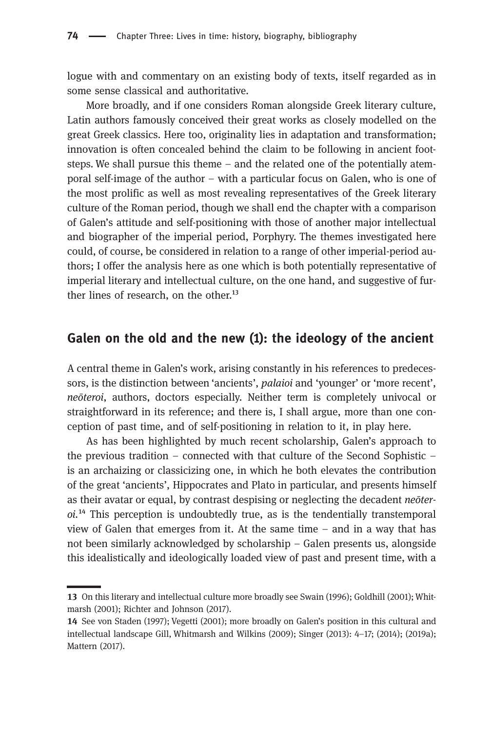logue with and commentary on an existing body of texts, itself regarded as in some sense classical and authoritative.

More broadly, and if one considers Roman alongside Greek literary culture, Latin authors famously conceived their great works as closely modelled on the great Greek classics. Here too, originality lies in adaptation and transformation; innovation is often concealed behind the claim to be following in ancient footsteps. We shall pursue this theme – and the related one of the potentially atemporal self-image of the author – with a particular focus on Galen, who is one of the most prolific as well as most revealing representatives of the Greek literary culture of the Roman period, though we shall end the chapter with a comparison of Galen's attitude and self-positioning with those of another major intellectual and biographer of the imperial period, Porphyry. The themes investigated here could, of course, be considered in relation to a range of other imperial-period authors; I offer the analysis here as one which is both potentially representative of imperial literary and intellectual culture, on the one hand, and suggestive of further lines of research, on the other. $^{13}$ 

## Galen on the old and the new (1): the ideology of the ancient

A central theme in Galen's work, arising constantly in his references to predecessors, is the distinction between 'ancients', palaioi and 'younger' or 'more recent', neōteroi, authors, doctors especially. Neither term is completely univocal or straightforward in its reference; and there is, I shall argue, more than one conception of past time, and of self-positioning in relation to it, in play here.

As has been highlighted by much recent scholarship, Galen's approach to the previous tradition – connected with that culture of the Second Sophistic – is an archaizing or classicizing one, in which he both elevates the contribution of the great 'ancients', Hippocrates and Plato in particular, and presents himself as their avatar or equal, by contrast despising or neglecting the decadent neōter $oi.$ <sup>14</sup> This perception is undoubtedly true, as is the tendentially transtemporal view of Galen that emerges from it. At the same time – and in a way that has not been similarly acknowledged by scholarship – Galen presents us, alongside this idealistically and ideologically loaded view of past and present time, with a

On this literary and intellectual culture more broadly see Swain (1996); Goldhill (2001); Whitmarsh (2001); Richter and Johnson (2017).

<sup>14</sup> See von Staden (1997); Vegetti (2001); more broadly on Galen's position in this cultural and intellectual landscape Gill, Whitmarsh and Wilkins (2009); Singer (2013): 4–17; (2014); (2019a); Mattern (2017).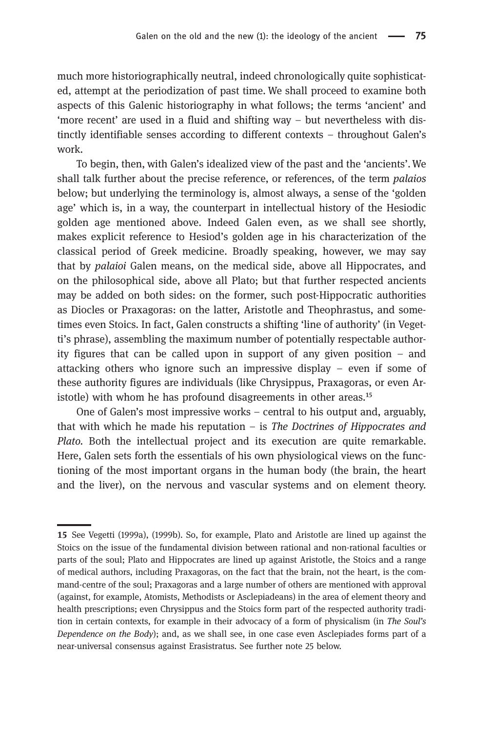much more historiographically neutral, indeed chronologically quite sophisticated, attempt at the periodization of past time. We shall proceed to examine both aspects of this Galenic historiography in what follows; the terms 'ancient' and 'more recent' are used in a fluid and shifting way – but nevertheless with distinctly identifiable senses according to different contexts – throughout Galen's work.

To begin, then, with Galen's idealized view of the past and the 'ancients'.We shall talk further about the precise reference, or references, of the term palaios below; but underlying the terminology is, almost always, a sense of the 'golden age' which is, in a way, the counterpart in intellectual history of the Hesiodic golden age mentioned above. Indeed Galen even, as we shall see shortly, makes explicit reference to Hesiod's golden age in his characterization of the classical period of Greek medicine. Broadly speaking, however, we may say that by palaioi Galen means, on the medical side, above all Hippocrates, and on the philosophical side, above all Plato; but that further respected ancients may be added on both sides: on the former, such post-Hippocratic authorities as Diocles or Praxagoras: on the latter, Aristotle and Theophrastus, and sometimes even Stoics. In fact, Galen constructs a shifting 'line of authority' (in Vegetti's phrase), assembling the maximum number of potentially respectable authority figures that can be called upon in support of any given position – and attacking others who ignore such an impressive display – even if some of these authority figures are individuals (like Chrysippus, Praxagoras, or even Aristotle) with whom he has profound disagreements in other areas.<sup>15</sup>

One of Galen's most impressive works – central to his output and, arguably, that with which he made his reputation  $-$  is The Doctrines of Hippocrates and Plato. Both the intellectual project and its execution are quite remarkable. Here, Galen sets forth the essentials of his own physiological views on the functioning of the most important organs in the human body (the brain, the heart and the liver), on the nervous and vascular systems and on element theory.

<sup>15</sup> See Vegetti (1999a), (1999b). So, for example, Plato and Aristotle are lined up against the Stoics on the issue of the fundamental division between rational and non-rational faculties or parts of the soul; Plato and Hippocrates are lined up against Aristotle, the Stoics and a range of medical authors, including Praxagoras, on the fact that the brain, not the heart, is the command-centre of the soul; Praxagoras and a large number of others are mentioned with approval (against, for example, Atomists, Methodists or Asclepiadeans) in the area of element theory and health prescriptions; even Chrysippus and the Stoics form part of the respected authority tradition in certain contexts, for example in their advocacy of a form of physicalism (in The Soul's Dependence on the Body); and, as we shall see, in one case even Asclepiades forms part of a near-universal consensus against Erasistratus. See further note 25 below.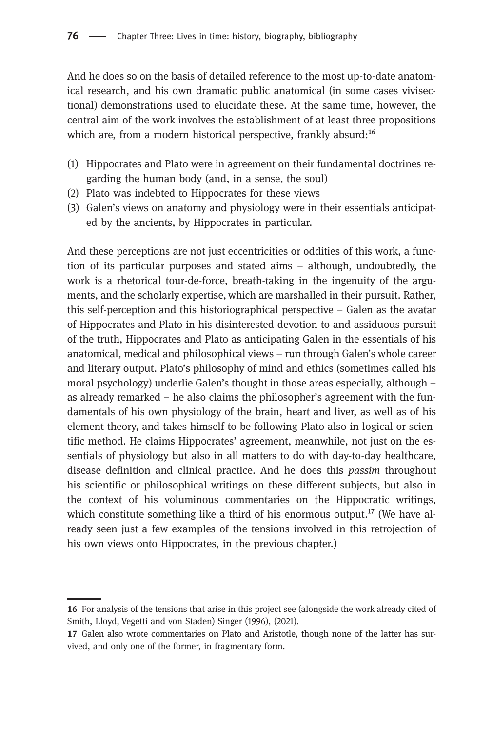And he does so on the basis of detailed reference to the most up-to-date anatomical research, and his own dramatic public anatomical (in some cases vivisectional) demonstrations used to elucidate these. At the same time, however, the central aim of the work involves the establishment of at least three propositions which are, from a modern historical perspective, frankly absurd:<sup>16</sup>

- (1) Hippocrates and Plato were in agreement on their fundamental doctrines regarding the human body (and, in a sense, the soul)
- (2) Plato was indebted to Hippocrates for these views
- (3) Galen's views on anatomy and physiology were in their essentials anticipated by the ancients, by Hippocrates in particular.

And these perceptions are not just eccentricities or oddities of this work, a function of its particular purposes and stated aims – although, undoubtedly, the work is a rhetorical tour-de-force, breath-taking in the ingenuity of the arguments, and the scholarly expertise, which are marshalled in their pursuit. Rather, this self-perception and this historiographical perspective – Galen as the avatar of Hippocrates and Plato in his disinterested devotion to and assiduous pursuit of the truth, Hippocrates and Plato as anticipating Galen in the essentials of his anatomical, medical and philosophical views – run through Galen's whole career and literary output. Plato's philosophy of mind and ethics (sometimes called his moral psychology) underlie Galen's thought in those areas especially, although – as already remarked – he also claims the philosopher's agreement with the fundamentals of his own physiology of the brain, heart and liver, as well as of his element theory, and takes himself to be following Plato also in logical or scientific method. He claims Hippocrates' agreement, meanwhile, not just on the essentials of physiology but also in all matters to do with day-to-day healthcare, disease definition and clinical practice. And he does this passim throughout his scientific or philosophical writings on these different subjects, but also in the context of his voluminous commentaries on the Hippocratic writings, which constitute something like a third of his enormous output.<sup>17</sup> (We have already seen just a few examples of the tensions involved in this retrojection of his own views onto Hippocrates, in the previous chapter.)

<sup>16</sup> For analysis of the tensions that arise in this project see (alongside the work already cited of Smith, Lloyd, Vegetti and von Staden) Singer (1996), (2021).

<sup>17</sup> Galen also wrote commentaries on Plato and Aristotle, though none of the latter has survived, and only one of the former, in fragmentary form.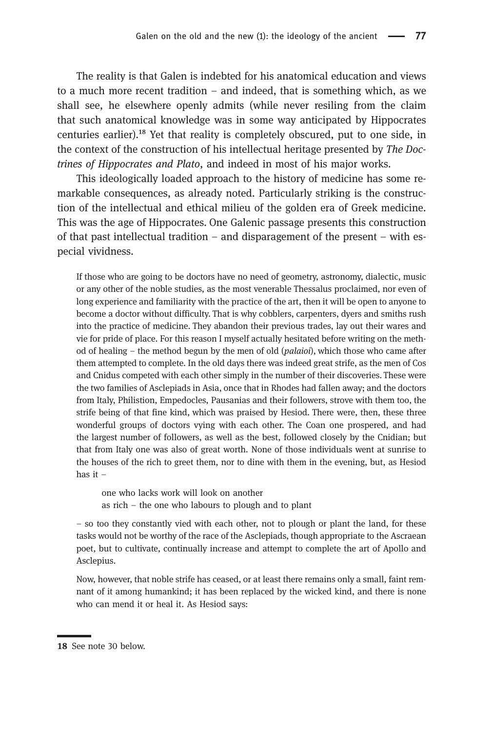The reality is that Galen is indebted for his anatomical education and views to a much more recent tradition – and indeed, that is something which, as we shall see, he elsewhere openly admits (while never resiling from the claim that such anatomical knowledge was in some way anticipated by Hippocrates centuries earlier).<sup>18</sup> Yet that reality is completely obscured, put to one side, in the context of the construction of his intellectual heritage presented by The Doctrines of Hippocrates and Plato, and indeed in most of his major works.

This ideologically loaded approach to the history of medicine has some remarkable consequences, as already noted. Particularly striking is the construction of the intellectual and ethical milieu of the golden era of Greek medicine. This was the age of Hippocrates. One Galenic passage presents this construction of that past intellectual tradition – and disparagement of the present – with especial vividness.

If those who are going to be doctors have no need of geometry, astronomy, dialectic, music or any other of the noble studies, as the most venerable Thessalus proclaimed, nor even of long experience and familiarity with the practice of the art, then it will be open to anyone to become a doctor without difficulty. That is why cobblers, carpenters, dyers and smiths rush into the practice of medicine. They abandon their previous trades, lay out their wares and vie for pride of place. For this reason I myself actually hesitated before writing on the method of healing – the method begun by the men of old (palaioi), which those who came after them attempted to complete. In the old days there was indeed great strife, as the men of Cos and Cnidus competed with each other simply in the number of their discoveries. These were the two families of Asclepiads in Asia, once that in Rhodes had fallen away; and the doctors from Italy, Philistion, Empedocles, Pausanias and their followers, strove with them too, the strife being of that fine kind, which was praised by Hesiod. There were, then, these three wonderful groups of doctors vying with each other. The Coan one prospered, and had the largest number of followers, as well as the best, followed closely by the Cnidian; but that from Italy one was also of great worth. None of those individuals went at sunrise to the houses of the rich to greet them, nor to dine with them in the evening, but, as Hesiod has it –

one who lacks work will look on another as rich – the one who labours to plough and to plant

– so too they constantly vied with each other, not to plough or plant the land, for these tasks would not be worthy of the race of the Asclepiads, though appropriate to the Ascraean poet, but to cultivate, continually increase and attempt to complete the art of Apollo and Asclepius.

Now, however, that noble strife has ceased, or at least there remains only a small, faint remnant of it among humankind; it has been replaced by the wicked kind, and there is none who can mend it or heal it. As Hesiod says:

<sup>18</sup> See note 30 below.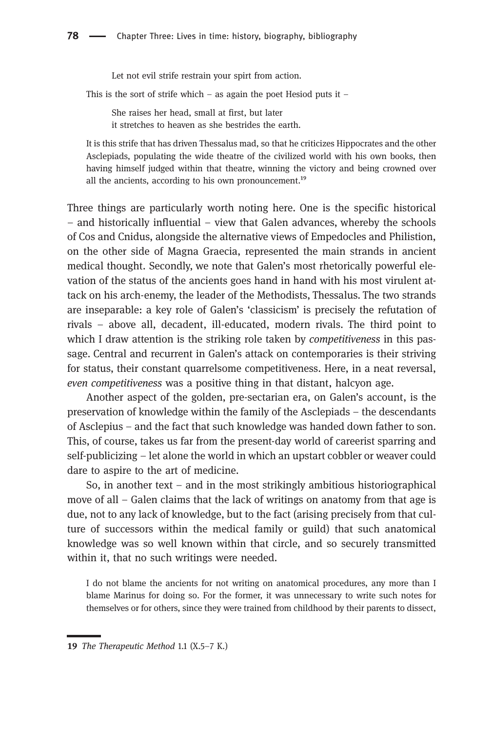Let not evil strife restrain your spirt from action.

This is the sort of strife which – as again the poet Hesiod puts it –

She raises her head, small at first, but later it stretches to heaven as she bestrides the earth.

It is this strife that has driven Thessalus mad, so that he criticizes Hippocrates and the other Asclepiads, populating the wide theatre of the civilized world with his own books, then having himself judged within that theatre, winning the victory and being crowned over all the ancients, according to his own pronouncement.<sup>19</sup>

Three things are particularly worth noting here. One is the specific historical – and historically influential – view that Galen advances, whereby the schools of Cos and Cnidus, alongside the alternative views of Empedocles and Philistion, on the other side of Magna Graecia, represented the main strands in ancient medical thought. Secondly, we note that Galen's most rhetorically powerful elevation of the status of the ancients goes hand in hand with his most virulent attack on his arch-enemy, the leader of the Methodists, Thessalus. The two strands are inseparable: a key role of Galen's 'classicism' is precisely the refutation of rivals – above all, decadent, ill-educated, modern rivals. The third point to which I draw attention is the striking role taken by *competitiveness* in this passage. Central and recurrent in Galen's attack on contemporaries is their striving for status, their constant quarrelsome competitiveness. Here, in a neat reversal, even competitiveness was a positive thing in that distant, halcyon age.

Another aspect of the golden, pre-sectarian era, on Galen's account, is the preservation of knowledge within the family of the Asclepiads – the descendants of Asclepius – and the fact that such knowledge was handed down father to son. This, of course, takes us far from the present-day world of careerist sparring and self-publicizing – let alone the world in which an upstart cobbler or weaver could dare to aspire to the art of medicine.

So, in another text – and in the most strikingly ambitious historiographical move of all – Galen claims that the lack of writings on anatomy from that age is due, not to any lack of knowledge, but to the fact (arising precisely from that culture of successors within the medical family or guild) that such anatomical knowledge was so well known within that circle, and so securely transmitted within it, that no such writings were needed.

I do not blame the ancients for not writing on anatomical procedures, any more than I blame Marinus for doing so. For the former, it was unnecessary to write such notes for themselves or for others, since they were trained from childhood by their parents to dissect,

<sup>19</sup> The Therapeutic Method 1.1  $(X.5-7 K.)$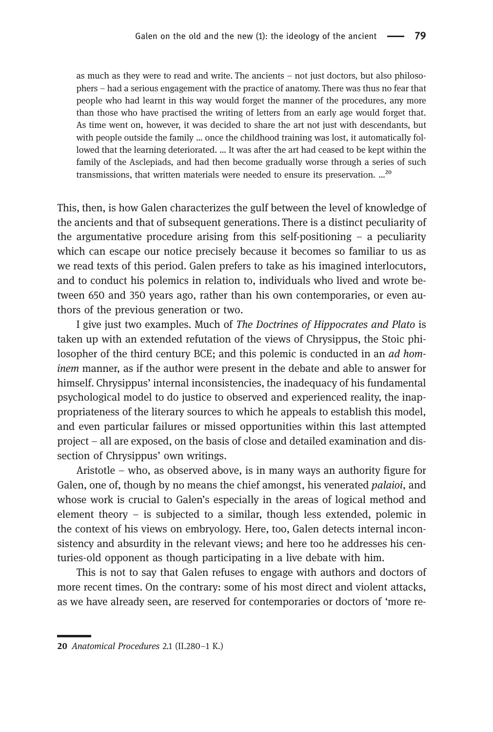as much as they were to read and write. The ancients – not just doctors, but also philosophers – had a serious engagement with the practice of anatomy. There was thus no fear that people who had learnt in this way would forget the manner of the procedures, any more than those who have practised the writing of letters from an early age would forget that. As time went on, however, it was decided to share the art not just with descendants, but with people outside the family … once the childhood training was lost, it automatically followed that the learning deteriorated. … It was after the art had ceased to be kept within the family of the Asclepiads, and had then become gradually worse through a series of such transmissions, that written materials were needed to ensure its preservation. ...<sup>20</sup>

This, then, is how Galen characterizes the gulf between the level of knowledge of the ancients and that of subsequent generations. There is a distinct peculiarity of the argumentative procedure arising from this self-positioning  $-$  a peculiarity which can escape our notice precisely because it becomes so familiar to us as we read texts of this period. Galen prefers to take as his imagined interlocutors, and to conduct his polemics in relation to, individuals who lived and wrote between 650 and 350 years ago, rather than his own contemporaries, or even authors of the previous generation or two.

I give just two examples. Much of The Doctrines of Hippocrates and Plato is taken up with an extended refutation of the views of Chrysippus, the Stoic philosopher of the third century BCE; and this polemic is conducted in an *ad hom*inem manner, as if the author were present in the debate and able to answer for himself. Chrysippus' internal inconsistencies, the inadequacy of his fundamental psychological model to do justice to observed and experienced reality, the inappropriateness of the literary sources to which he appeals to establish this model, and even particular failures or missed opportunities within this last attempted project – all are exposed, on the basis of close and detailed examination and dissection of Chrysippus' own writings.

Aristotle – who, as observed above, is in many ways an authority figure for Galen, one of, though by no means the chief amongst, his venerated palaioi, and whose work is crucial to Galen's especially in the areas of logical method and element theory – is subjected to a similar, though less extended, polemic in the context of his views on embryology. Here, too, Galen detects internal inconsistency and absurdity in the relevant views; and here too he addresses his centuries-old opponent as though participating in a live debate with him.

This is not to say that Galen refuses to engage with authors and doctors of more recent times. On the contrary: some of his most direct and violent attacks, as we have already seen, are reserved for contemporaries or doctors of 'more re-

<sup>20</sup> Anatomical Procedures 2.1 (II.280-1 K.)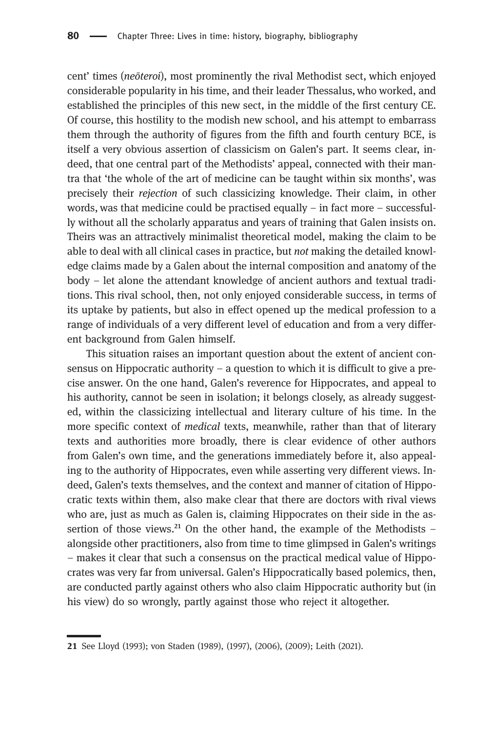cent' times (neōteroi), most prominently the rival Methodist sect, which enjoyed considerable popularity in his time, and their leader Thessalus, who worked, and established the principles of this new sect, in the middle of the first century CE. Of course, this hostility to the modish new school, and his attempt to embarrass them through the authority of figures from the fifth and fourth century BCE, is itself a very obvious assertion of classicism on Galen's part. It seems clear, indeed, that one central part of the Methodists' appeal, connected with their mantra that 'the whole of the art of medicine can be taught within six months', was precisely their rejection of such classicizing knowledge. Their claim, in other words, was that medicine could be practised equally  $-$  in fact more  $-$  successfully without all the scholarly apparatus and years of training that Galen insists on. Theirs was an attractively minimalist theoretical model, making the claim to be able to deal with all clinical cases in practice, but not making the detailed knowledge claims made by a Galen about the internal composition and anatomy of the body – let alone the attendant knowledge of ancient authors and textual traditions. This rival school, then, not only enjoyed considerable success, in terms of its uptake by patients, but also in effect opened up the medical profession to a range of individuals of a very different level of education and from a very different background from Galen himself.

This situation raises an important question about the extent of ancient consensus on Hippocratic authority – a question to which it is difficult to give a precise answer. On the one hand, Galen's reverence for Hippocrates, and appeal to his authority, cannot be seen in isolation; it belongs closely, as already suggested, within the classicizing intellectual and literary culture of his time. In the more specific context of *medical* texts, meanwhile, rather than that of literary texts and authorities more broadly, there is clear evidence of other authors from Galen's own time, and the generations immediately before it, also appealing to the authority of Hippocrates, even while asserting very different views. Indeed, Galen's texts themselves, and the context and manner of citation of Hippocratic texts within them, also make clear that there are doctors with rival views who are, just as much as Galen is, claiming Hippocrates on their side in the assertion of those views.<sup>21</sup> On the other hand, the example of the Methodists – alongside other practitioners, also from time to time glimpsed in Galen's writings – makes it clear that such a consensus on the practical medical value of Hippocrates was very far from universal. Galen's Hippocratically based polemics, then, are conducted partly against others who also claim Hippocratic authority but (in his view) do so wrongly, partly against those who reject it altogether.

<sup>21</sup> See Lloyd (1993); von Staden (1989), (1997), (2006), (2009); Leith (2021).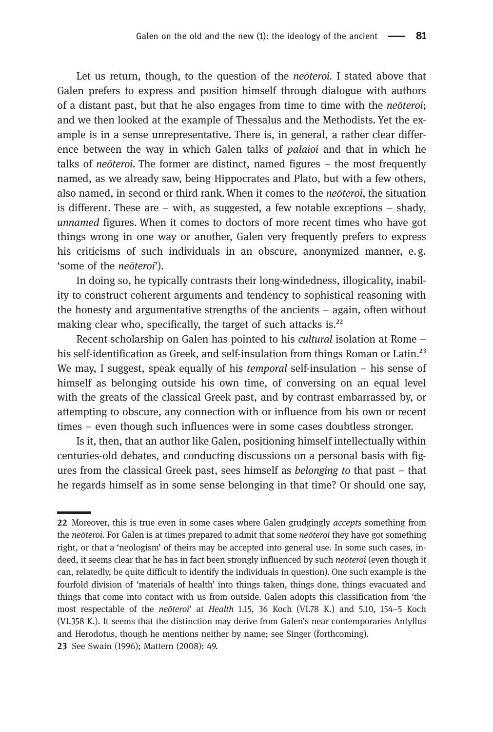Let us return, though, to the question of the *neōteroi*. I stated above that Galen prefers to express and position himself through dialogue with authors of a distant past, but that he also engages from time to time with the neōteroi; and we then looked at the example of Thessalus and the Methodists. Yet the example is in a sense unrepresentative. There is, in general, a rather clear difference between the way in which Galen talks of *palaioi* and that in which he talks of neōteroi. The former are distinct, named figures – the most frequently named, as we already saw, being Hippocrates and Plato, but with a few others, also named, in second or third rank. When it comes to the *neoteroi*, the situation is different. These are – with, as suggested, a few notable exceptions – shady, unnamed figures. When it comes to doctors of more recent times who have got things wrong in one way or another, Galen very frequently prefers to express his criticisms of such individuals in an obscure, anonymized manner, e.g. 'some of the neōteroi').

In doing so, he typically contrasts their long-windedness, illogicality, inability to construct coherent arguments and tendency to sophistical reasoning with the honesty and argumentative strengths of the ancients – again, often without making clear who, specifically, the target of such attacks is.<sup>22</sup>

Recent scholarship on Galen has pointed to his cultural isolation at Rome – his self-identification as Greek, and self-insulation from things Roman or Latin.<sup>23</sup> We may, I suggest, speak equally of his *temporal* self-insulation  $-$  his sense of himself as belonging outside his own time, of conversing on an equal level with the greats of the classical Greek past, and by contrast embarrassed by, or attempting to obscure, any connection with or influence from his own or recent times – even though such influences were in some cases doubtless stronger.

Is it, then, that an author like Galen, positioning himself intellectually within centuries-old debates, and conducting discussions on a personal basis with figures from the classical Greek past, sees himself as *belonging to* that past  $-$  that he regards himself as in some sense belonging in that time? Or should one say,

<sup>22</sup> Moreover, this is true even in some cases where Galen grudgingly accepts something from the neōteroi. For Galen is at times prepared to admit that some neōteroi they have got something right, or that a 'neologism' of theirs may be accepted into general use. In some such cases, indeed, it seems clear that he has in fact been strongly influenced by such neōteroi (even though it can, relatedly, be quite difficult to identify the individuals in question). One such example is the fourfold division of 'materials of health' into things taken, things done, things evacuated and things that come into contact with us from outside. Galen adopts this classification from 'the most respectable of the neōteroi' at Health 1.15, 36 Koch (VI.78 K.) and 5.10, 154-5 Koch (VI.358 K.). It seems that the distinction may derive from Galen's near contemporaries Antyllus and Herodotus, though he mentions neither by name; see Singer (forthcoming).

<sup>23</sup> See Swain (1996): Mattern (2008): 49.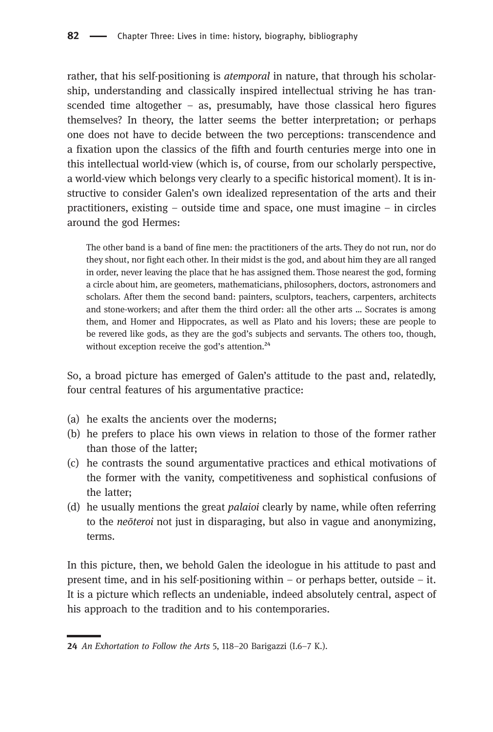rather, that his self-positioning is *atemporal* in nature, that through his scholarship, understanding and classically inspired intellectual striving he has transcended time altogether  $-$  as, presumably, have those classical hero figures themselves? In theory, the latter seems the better interpretation; or perhaps one does not have to decide between the two perceptions: transcendence and a fixation upon the classics of the fifth and fourth centuries merge into one in this intellectual world-view (which is, of course, from our scholarly perspective, a world-view which belongs very clearly to a specific historical moment). It is instructive to consider Galen's own idealized representation of the arts and their practitioners, existing – outside time and space, one must imagine – in circles around the god Hermes:

The other band is a band of fine men: the practitioners of the arts. They do not run, nor do they shout, nor fight each other. In their midst is the god, and about him they are all ranged in order, never leaving the place that he has assigned them. Those nearest the god, forming a circle about him, are geometers, mathematicians, philosophers, doctors, astronomers and scholars. After them the second band: painters, sculptors, teachers, carpenters, architects and stone-workers; and after them the third order: all the other arts … Socrates is among them, and Homer and Hippocrates, as well as Plato and his lovers; these are people to be revered like gods, as they are the god's subjects and servants. The others too, though, without exception receive the god's attention. $24$ 

So, a broad picture has emerged of Galen's attitude to the past and, relatedly, four central features of his argumentative practice:

- (a) he exalts the ancients over the moderns;
- (b) he prefers to place his own views in relation to those of the former rather than those of the latter;
- (c) he contrasts the sound argumentative practices and ethical motivations of the former with the vanity, competitiveness and sophistical confusions of the latter;
- (d) he usually mentions the great palaioi clearly by name, while often referring to the neōteroi not just in disparaging, but also in vague and anonymizing, terms.

In this picture, then, we behold Galen the ideologue in his attitude to past and present time, and in his self-positioning within  $-$  or perhaps better, outside  $-$  it. It is a picture which reflects an undeniable, indeed absolutely central, aspect of his approach to the tradition and to his contemporaries.

An Exhortation to Follow the Arts 5, 118–20 Barigazzi (I.6–7 K.).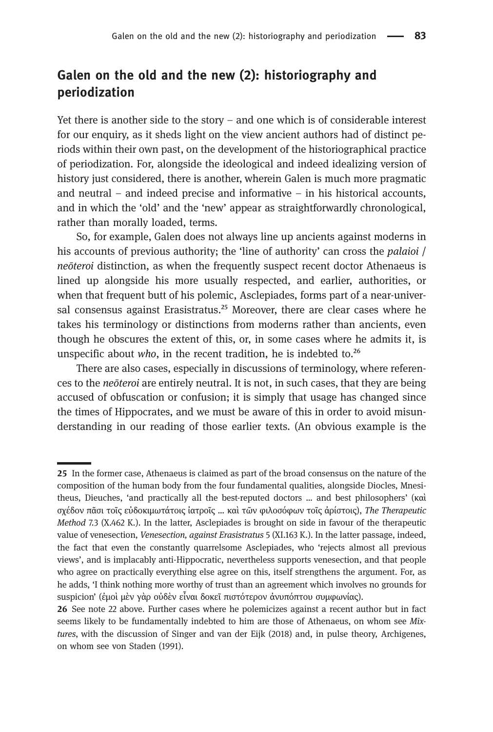# Galen on the old and the new (2): historiography and periodization

Yet there is another side to the story – and one which is of considerable interest for our enquiry, as it sheds light on the view ancient authors had of distinct periods within their own past, on the development of the historiographical practice of periodization. For, alongside the ideological and indeed idealizing version of history just considered, there is another, wherein Galen is much more pragmatic and neutral – and indeed precise and informative – in his historical accounts, and in which the 'old' and the 'new' appear as straightforwardly chronological, rather than morally loaded, terms.

So, for example, Galen does not always line up ancients against moderns in his accounts of previous authority; the 'line of authority' can cross the *palaioi* / neōteroi distinction, as when the frequently suspect recent doctor Athenaeus is lined up alongside his more usually respected, and earlier, authorities, or when that frequent butt of his polemic, Asclepiades, forms part of a near-universal consensus against Erasistratus.<sup>25</sup> Moreover, there are clear cases where he takes his terminology or distinctions from moderns rather than ancients, even though he obscures the extent of this, or, in some cases where he admits it, is unspecific about who, in the recent tradition, he is indebted to. $26$ 

There are also cases, especially in discussions of terminology, where references to the neōteroi are entirely neutral. It is not, in such cases, that they are being accused of obfuscation or confusion; it is simply that usage has changed since the times of Hippocrates, and we must be aware of this in order to avoid misunderstanding in our reading of those earlier texts. (An obvious example is the

<sup>25</sup> In the former case, Athenaeus is claimed as part of the broad consensus on the nature of the composition of the human body from the four fundamental qualities, alongside Diocles, Mnesitheus, Dieuches, 'and practically all the best-reputed doctors … and best philosophers' (καὶ σχέδον πᾶσι τοῖς εὐδοκιμωτάτοις ἰατροῖς … καὶ τῶν φιλοσόφων τοῖς ἀρίστοις), The Therapeutic Method 7.3 (X.462 K.). In the latter, Asclepiades is brought on side in favour of the therapeutic value of venesection, Venesection, against Erasistratus 5 (XI.163 K.). In the latter passage, indeed, the fact that even the constantly quarrelsome Asclepiades, who 'rejects almost all previous views', and is implacably anti-Hippocratic, nevertheless supports venesection, and that people who agree on practically everything else agree on this, itself strengthens the argument. For, as he adds, 'I think nothing more worthy of trust than an agreement which involves no grounds for suspicion' (έμοὶ μὲν γὰρ οὐδὲν εἶναι δοκεῖ πιστότερον ἀνυπόπτου συμφωνίας).

<sup>26</sup> See note 22 above. Further cases where he polemicizes against a recent author but in fact seems likely to be fundamentally indebted to him are those of Athenaeus, on whom see Mixtures, with the discussion of Singer and van der Eijk (2018) and, in pulse theory, Archigenes, on whom see von Staden (1991).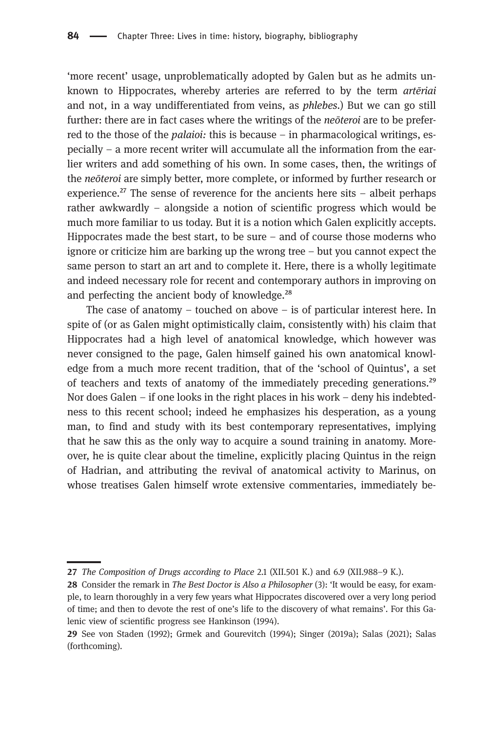'more recent' usage, unproblematically adopted by Galen but as he admits unknown to Hippocrates, whereby arteries are referred to by the term artēriai and not, in a way undifferentiated from veins, as phlebes.) But we can go still further: there are in fact cases where the writings of the *neoteroi* are to be preferred to the those of the *palaioi*: this is because – in pharmacological writings, especially – a more recent writer will accumulate all the information from the earlier writers and add something of his own. In some cases, then, the writings of the neōteroi are simply better, more complete, or informed by further research or experience.<sup>27</sup> The sense of reverence for the ancients here sits – albeit perhaps rather awkwardly – alongside a notion of scientific progress which would be much more familiar to us today. But it is a notion which Galen explicitly accepts. Hippocrates made the best start, to be sure – and of course those moderns who ignore or criticize him are barking up the wrong tree – but you cannot expect the same person to start an art and to complete it. Here, there is a wholly legitimate and indeed necessary role for recent and contemporary authors in improving on and perfecting the ancient body of knowledge. $28$ 

The case of anatomy – touched on above – is of particular interest here. In spite of (or as Galen might optimistically claim, consistently with) his claim that Hippocrates had a high level of anatomical knowledge, which however was never consigned to the page, Galen himself gained his own anatomical knowledge from a much more recent tradition, that of the 'school of Quintus', a set of teachers and texts of anatomy of the immediately preceding generations.<sup>29</sup> Nor does Galen – if one looks in the right places in his work – deny his indebtedness to this recent school; indeed he emphasizes his desperation, as a young man, to find and study with its best contemporary representatives, implying that he saw this as the only way to acquire a sound training in anatomy. Moreover, he is quite clear about the timeline, explicitly placing Quintus in the reign of Hadrian, and attributing the revival of anatomical activity to Marinus, on whose treatises Galen himself wrote extensive commentaries, immediately be-

The Composition of Drugs according to Place 2.1 (XII.501 K.) and 6.9 (XII.988–9 K.).

<sup>28</sup> Consider the remark in The Best Doctor is Also a Philosopher (3): 'It would be easy, for example, to learn thoroughly in a very few years what Hippocrates discovered over a very long period of time; and then to devote the rest of one's life to the discovery of what remains'. For this Galenic view of scientific progress see Hankinson (1994).

<sup>29</sup> See von Staden (1992); Grmek and Gourevitch (1994); Singer (2019a); Salas (2021); Salas (forthcoming).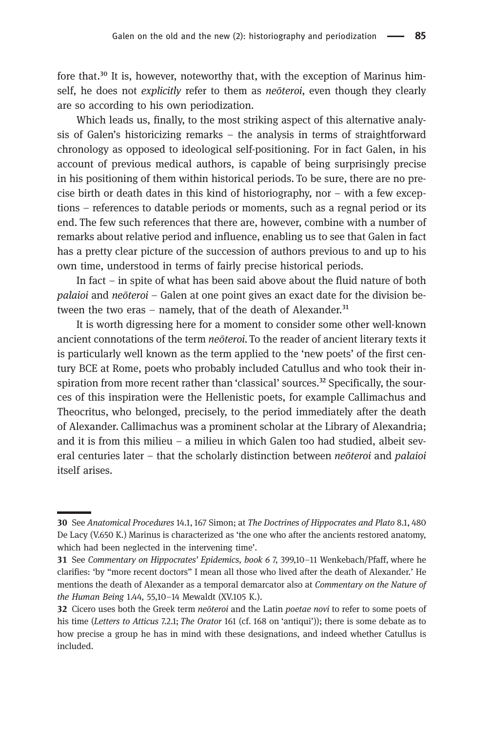fore that.<sup>30</sup> It is, however, noteworthy that, with the exception of Marinus himself, he does not explicitly refer to them as *neōteroi*, even though they clearly are so according to his own periodization.

Which leads us, finally, to the most striking aspect of this alternative analysis of Galen's historicizing remarks – the analysis in terms of straightforward chronology as opposed to ideological self-positioning. For in fact Galen, in his account of previous medical authors, is capable of being surprisingly precise in his positioning of them within historical periods. To be sure, there are no precise birth or death dates in this kind of historiography, nor – with a few exceptions – references to datable periods or moments, such as a regnal period or its end. The few such references that there are, however, combine with a number of remarks about relative period and influence, enabling us to see that Galen in fact has a pretty clear picture of the succession of authors previous to and up to his own time, understood in terms of fairly precise historical periods.

In fact – in spite of what has been said above about the fluid nature of both palaioi and neōteroi – Galen at one point gives an exact date for the division between the two eras – namely, that of the death of Alexander. $31$ 

It is worth digressing here for a moment to consider some other well-known ancient connotations of the term neōteroi. To the reader of ancient literary texts it is particularly well known as the term applied to the 'new poets' of the first century BCE at Rome, poets who probably included Catullus and who took their inspiration from more recent rather than 'classical' sources.<sup>32</sup> Specifically, the sources of this inspiration were the Hellenistic poets, for example Callimachus and Theocritus, who belonged, precisely, to the period immediately after the death of Alexander. Callimachus was a prominent scholar at the Library of Alexandria; and it is from this milieu – a milieu in which Galen too had studied, albeit several centuries later – that the scholarly distinction between neoteroi and palaioi itself arises.

<sup>30</sup> See Anatomical Procedures 14.1, 167 Simon; at The Doctrines of Hippocrates and Plato 8.1, 480 De Lacy (V.650 K.) Marinus is characterized as 'the one who after the ancients restored anatomy, which had been neglected in the intervening time'.

See Commentary on Hippocrates' Epidemics, book 6 7, 399,10–11 Wenkebach/Pfaff, where he clarifies: 'by "more recent doctors" I mean all those who lived after the death of Alexander.' He mentions the death of Alexander as a temporal demarcator also at Commentary on the Nature of the Human Being 1.44, 55,10–14 Mewaldt (XV.105 K.).

<sup>32</sup> Cicero uses both the Greek term *neōteroi* and the Latin *poetae novi* to refer to some poets of his time (Letters to Atticus 7.2.1; The Orator 161 (cf. 168 on 'antiqui')); there is some debate as to how precise a group he has in mind with these designations, and indeed whether Catullus is included.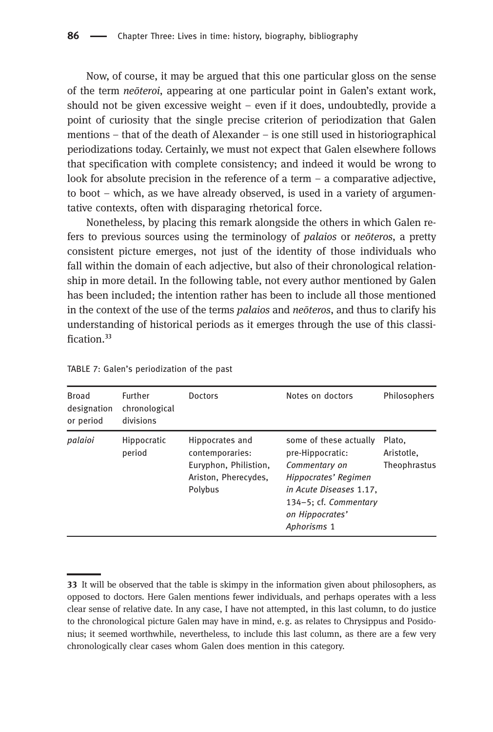Now, of course, it may be argued that this one particular gloss on the sense of the term neōteroi, appearing at one particular point in Galen's extant work, should not be given excessive weight – even if it does, undoubtedly, provide a point of curiosity that the single precise criterion of periodization that Galen mentions – that of the death of Alexander – is one still used in historiographical periodizations today. Certainly, we must not expect that Galen elsewhere follows that specification with complete consistency; and indeed it would be wrong to look for absolute precision in the reference of a term  $-$  a comparative adjective, to boot – which, as we have already observed, is used in a variety of argumentative contexts, often with disparaging rhetorical force.

Nonetheless, by placing this remark alongside the others in which Galen refers to previous sources using the terminology of palaios or neōteros, a pretty consistent picture emerges, not just of the identity of those individuals who fall within the domain of each adjective, but also of their chronological relationship in more detail. In the following table, not every author mentioned by Galen has been included; the intention rather has been to include all those mentioned in the context of the use of the terms palaios and neōteros, and thus to clarify his understanding of historical periods as it emerges through the use of this classification $33$ 

| <b>Broad</b><br>designation<br>or period | Further<br>chronological<br>divisions | <b>Doctors</b>                                                                                 | Notes on doctors                                                                                                                                                          | Philosophers                         |
|------------------------------------------|---------------------------------------|------------------------------------------------------------------------------------------------|---------------------------------------------------------------------------------------------------------------------------------------------------------------------------|--------------------------------------|
| palaioi                                  | Hippocratic<br>period                 | Hippocrates and<br>contemporaries:<br>Euryphon, Philistion,<br>Ariston, Pherecydes,<br>Polybus | some of these actually<br>pre-Hippocratic:<br>Commentary on<br>Hippocrates' Regimen<br>in Acute Diseases 1.17.<br>134-5; cf. Commentary<br>on Hippocrates'<br>Aphorisms 1 | Plato.<br>Aristotle.<br>Theophrastus |

TABLE 7: Galen's periodization of the past

It will be observed that the table is skimpy in the information given about philosophers, as opposed to doctors. Here Galen mentions fewer individuals, and perhaps operates with a less clear sense of relative date. In any case, I have not attempted, in this last column, to do justice to the chronological picture Galen may have in mind, e.g. as relates to Chrysippus and Posidonius; it seemed worthwhile, nevertheless, to include this last column, as there are a few very chronologically clear cases whom Galen does mention in this category.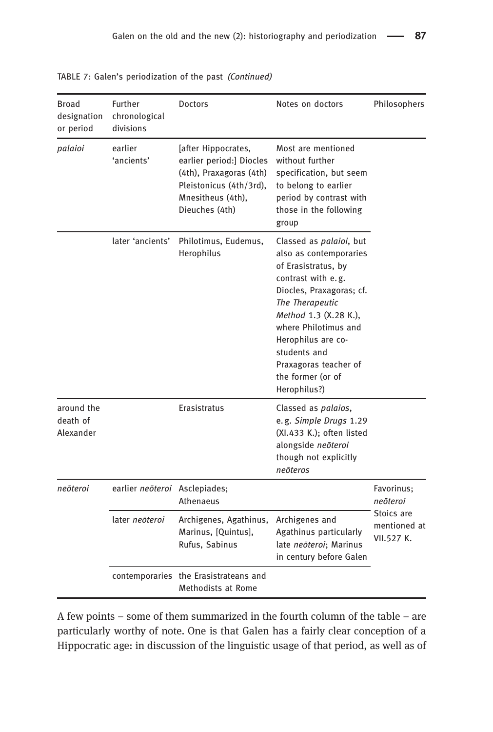| Broad<br>designation<br>or period   | Further<br>chronological<br>divisions | <b>Doctors</b>                                                                                                                               | Notes on doctors                                                                                                                                                                                                                                                                                           | Philosophers                                                       |
|-------------------------------------|---------------------------------------|----------------------------------------------------------------------------------------------------------------------------------------------|------------------------------------------------------------------------------------------------------------------------------------------------------------------------------------------------------------------------------------------------------------------------------------------------------------|--------------------------------------------------------------------|
| palaioi                             | earlier<br>'ancients'                 | [after Hippocrates,<br>earlier period:] Diocles<br>(4th), Praxagoras (4th)<br>Pleistonicus (4th/3rd),<br>Mnesitheus (4th),<br>Dieuches (4th) | Most are mentioned<br>without further<br>specification, but seem<br>to belong to earlier<br>period by contrast with<br>those in the following<br>group                                                                                                                                                     |                                                                    |
|                                     | later 'ancients'                      | Philotimus, Eudemus,<br>Herophilus                                                                                                           | Classed as <i>palaioi</i> , but<br>also as contemporaries<br>of Erasistratus, by<br>contrast with e.g.<br>Diocles, Praxagoras; cf.<br>The Therapeutic<br>Method 1.3 (X.28 K.),<br>where Philotimus and<br>Herophilus are co-<br>students and<br>Praxagoras teacher of<br>the former (or of<br>Herophilus?) |                                                                    |
| around the<br>death of<br>Alexander |                                       | Erasistratus                                                                                                                                 | Classed as palaios,<br>e.g. Simple Drugs 1.29<br>(XI.433 K.); often listed<br>alongside neōteroi<br>though not explicitly<br>neōteros                                                                                                                                                                      |                                                                    |
| neōteroi                            | earlier neōteroi Asclepiades;         | Athenaeus                                                                                                                                    |                                                                                                                                                                                                                                                                                                            | Favorinus;<br>neōteroi<br>Stoics are<br>mentioned at<br>VII.527 K. |
|                                     | later neōteroi                        | Archigenes, Agathinus,<br>Marinus, [Quintus],<br>Rufus, Sabinus                                                                              | Archigenes and<br>Agathinus particularly<br>late neōteroi; Marinus<br>in century before Galen                                                                                                                                                                                                              |                                                                    |
|                                     |                                       | contemporaries the Erasistrateans and<br>Methodists at Rome                                                                                  |                                                                                                                                                                                                                                                                                                            |                                                                    |

TABLE 7: Galen's periodization of the past (Continued)

A few points – some of them summarized in the fourth column of the table – are particularly worthy of note. One is that Galen has a fairly clear conception of a Hippocratic age: in discussion of the linguistic usage of that period, as well as of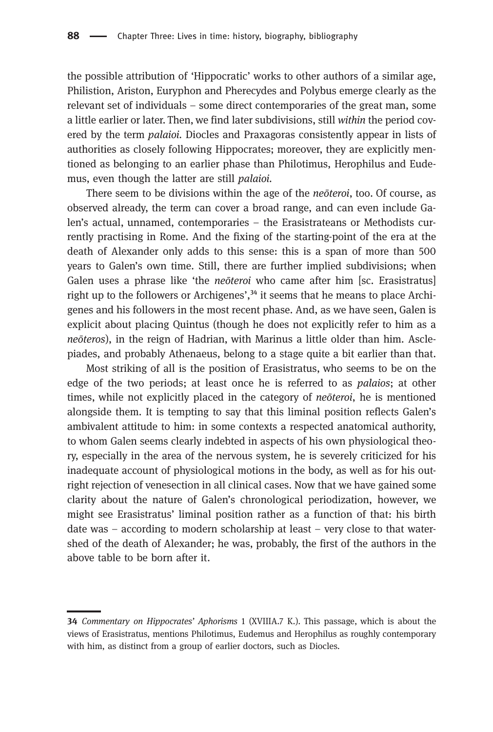the possible attribution of 'Hippocratic' works to other authors of a similar age, Philistion, Ariston, Euryphon and Pherecydes and Polybus emerge clearly as the relevant set of individuals – some direct contemporaries of the great man, some a little earlier or later. Then, we find later subdivisions, still within the period covered by the term palaioi. Diocles and Praxagoras consistently appear in lists of authorities as closely following Hippocrates; moreover, they are explicitly mentioned as belonging to an earlier phase than Philotimus, Herophilus and Eudemus, even though the latter are still palaioi.

There seem to be divisions within the age of the neōteroi, too. Of course, as observed already, the term can cover a broad range, and can even include Galen's actual, unnamed, contemporaries – the Erasistrateans or Methodists currently practising in Rome. And the fixing of the starting-point of the era at the death of Alexander only adds to this sense: this is a span of more than 500 years to Galen's own time. Still, there are further implied subdivisions; when Galen uses a phrase like 'the *neōteroi* who came after him [sc. Erasistratus] right up to the followers or Archigenes', $34$  it seems that he means to place Archigenes and his followers in the most recent phase. And, as we have seen, Galen is explicit about placing Quintus (though he does not explicitly refer to him as a neōteros), in the reign of Hadrian, with Marinus a little older than him. Asclepiades, and probably Athenaeus, belong to a stage quite a bit earlier than that.

Most striking of all is the position of Erasistratus, who seems to be on the edge of the two periods; at least once he is referred to as palaios; at other times, while not explicitly placed in the category of neōteroi, he is mentioned alongside them. It is tempting to say that this liminal position reflects Galen's ambivalent attitude to him: in some contexts a respected anatomical authority, to whom Galen seems clearly indebted in aspects of his own physiological theory, especially in the area of the nervous system, he is severely criticized for his inadequate account of physiological motions in the body, as well as for his outright rejection of venesection in all clinical cases. Now that we have gained some clarity about the nature of Galen's chronological periodization, however, we might see Erasistratus' liminal position rather as a function of that: his birth date was – according to modern scholarship at least – very close to that watershed of the death of Alexander; he was, probably, the first of the authors in the above table to be born after it.

<sup>34</sup> Commentary on Hippocrates' Aphorisms 1 (XVIIIA.7 K.). This passage, which is about the views of Erasistratus, mentions Philotimus, Eudemus and Herophilus as roughly contemporary with him, as distinct from a group of earlier doctors, such as Diocles.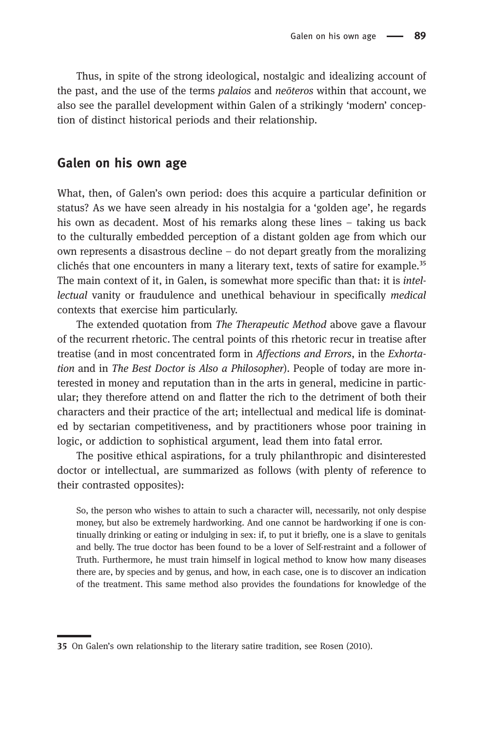Thus, in spite of the strong ideological, nostalgic and idealizing account of the past, and the use of the terms *palaios* and *neoteros* within that account, we also see the parallel development within Galen of a strikingly 'modern' conception of distinct historical periods and their relationship.

### Galen on his own age

What, then, of Galen's own period: does this acquire a particular definition or status? As we have seen already in his nostalgia for a 'golden age', he regards his own as decadent. Most of his remarks along these lines – taking us back to the culturally embedded perception of a distant golden age from which our own represents a disastrous decline – do not depart greatly from the moralizing clichés that one encounters in many a literary text, texts of satire for example.<sup>35</sup> The main context of it, in Galen, is somewhat more specific than that: it is intellectual vanity or fraudulence and unethical behaviour in specifically medical contexts that exercise him particularly.

The extended quotation from The Therapeutic Method above gave a flavour of the recurrent rhetoric. The central points of this rhetoric recur in treatise after treatise (and in most concentrated form in Affections and Errors, in the Exhortation and in The Best Doctor is Also a Philosopher). People of today are more interested in money and reputation than in the arts in general, medicine in particular; they therefore attend on and flatter the rich to the detriment of both their characters and their practice of the art; intellectual and medical life is dominated by sectarian competitiveness, and by practitioners whose poor training in logic, or addiction to sophistical argument, lead them into fatal error.

The positive ethical aspirations, for a truly philanthropic and disinterested doctor or intellectual, are summarized as follows (with plenty of reference to their contrasted opposites):

So, the person who wishes to attain to such a character will, necessarily, not only despise money, but also be extremely hardworking. And one cannot be hardworking if one is continually drinking or eating or indulging in sex: if, to put it briefly, one is a slave to genitals and belly. The true doctor has been found to be a lover of Self-restraint and a follower of Truth. Furthermore, he must train himself in logical method to know how many diseases there are, by species and by genus, and how, in each case, one is to discover an indication of the treatment. This same method also provides the foundations for knowledge of the

<sup>35</sup> On Galen's own relationship to the literary satire tradition, see Rosen (2010).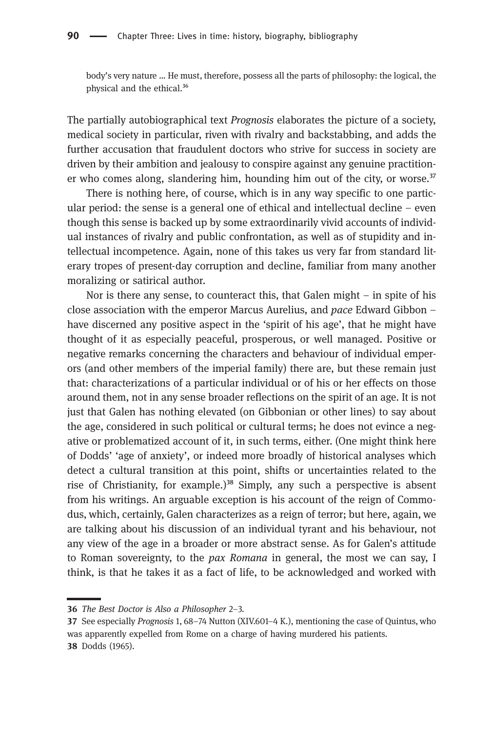body's very nature … He must, therefore, possess all the parts of philosophy: the logical, the physical and the ethical.<sup>36</sup>

The partially autobiographical text Prognosis elaborates the picture of a society, medical society in particular, riven with rivalry and backstabbing, and adds the further accusation that fraudulent doctors who strive for success in society are driven by their ambition and jealousy to conspire against any genuine practitioner who comes along, slandering him, hounding him out of the city, or worse.<sup>37</sup>

There is nothing here, of course, which is in any way specific to one particular period: the sense is a general one of ethical and intellectual decline  $-$  even though this sense is backed up by some extraordinarily vivid accounts of individual instances of rivalry and public confrontation, as well as of stupidity and intellectual incompetence. Again, none of this takes us very far from standard literary tropes of present-day corruption and decline, familiar from many another moralizing or satirical author.

Nor is there any sense, to counteract this, that Galen might – in spite of his close association with the emperor Marcus Aurelius, and pace Edward Gibbon – have discerned any positive aspect in the 'spirit of his age', that he might have thought of it as especially peaceful, prosperous, or well managed. Positive or negative remarks concerning the characters and behaviour of individual emperors (and other members of the imperial family) there are, but these remain just that: characterizations of a particular individual or of his or her effects on those around them, not in any sense broader reflections on the spirit of an age. It is not just that Galen has nothing elevated (on Gibbonian or other lines) to say about the age, considered in such political or cultural terms; he does not evince a negative or problematized account of it, in such terms, either. (One might think here of Dodds' 'age of anxiety', or indeed more broadly of historical analyses which detect a cultural transition at this point, shifts or uncertainties related to the rise of Christianity, for example.)<sup>38</sup> Simply, any such a perspective is absent from his writings. An arguable exception is his account of the reign of Commodus, which, certainly, Galen characterizes as a reign of terror; but here, again, we are talking about his discussion of an individual tyrant and his behaviour, not any view of the age in a broader or more abstract sense. As for Galen's attitude to Roman sovereignty, to the *pax Romana* in general, the most we can say, I think, is that he takes it as a fact of life, to be acknowledged and worked with

<sup>36</sup> The Best Doctor is Also a Philosopher 2-3.

<sup>37</sup> See especially *Prognosis* 1, 68–74 Nutton (XIV.601–4 K.), mentioning the case of Quintus, who was apparently expelled from Rome on a charge of having murdered his patients. 38 Dodds (1965).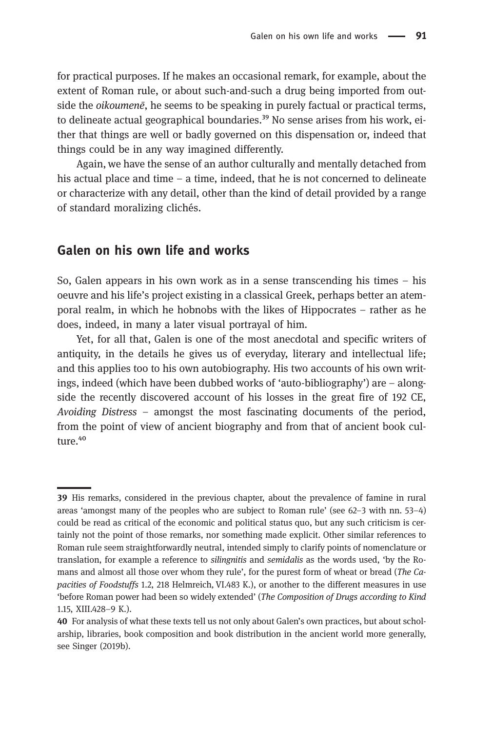for practical purposes. If he makes an occasional remark, for example, about the extent of Roman rule, or about such-and-such a drug being imported from outside the *oikoumenē*, he seems to be speaking in purely factual or practical terms, to delineate actual geographical boundaries.<sup>39</sup> No sense arises from his work, either that things are well or badly governed on this dispensation or, indeed that things could be in any way imagined differently.

Again, we have the sense of an author culturally and mentally detached from his actual place and time – a time, indeed, that he is not concerned to delineate or characterize with any detail, other than the kind of detail provided by a range of standard moralizing clichés.

### Galen on his own life and works

So, Galen appears in his own work as in a sense transcending his times – his oeuvre and his life's project existing in a classical Greek, perhaps better an atemporal realm, in which he hobnobs with the likes of Hippocrates – rather as he does, indeed, in many a later visual portrayal of him.

Yet, for all that, Galen is one of the most anecdotal and specific writers of antiquity, in the details he gives us of everyday, literary and intellectual life; and this applies too to his own autobiography. His two accounts of his own writings, indeed (which have been dubbed works of 'auto-bibliography') are – alongside the recently discovered account of his losses in the great fire of 192 CE, Avoiding Distress – amongst the most fascinating documents of the period, from the point of view of ancient biography and from that of ancient book culture.<sup>40</sup>

<sup>39</sup> His remarks, considered in the previous chapter, about the prevalence of famine in rural areas 'amongst many of the peoples who are subject to Roman rule' (see 62–3 with nn. 53–4) could be read as critical of the economic and political status quo, but any such criticism is certainly not the point of those remarks, nor something made explicit. Other similar references to Roman rule seem straightforwardly neutral, intended simply to clarify points of nomenclature or translation, for example a reference to silingnitis and semidalis as the words used, 'by the Romans and almost all those over whom they rule', for the purest form of wheat or bread (The Capacities of Foodstuffs 1.2, 218 Helmreich, VI.483 K.), or another to the different measures in use 'before Roman power had been so widely extended' (The Composition of Drugs according to Kind 1.15, XIII.428–9 K.).

For analysis of what these texts tell us not only about Galen's own practices, but about scholarship, libraries, book composition and book distribution in the ancient world more generally, see Singer (2019b).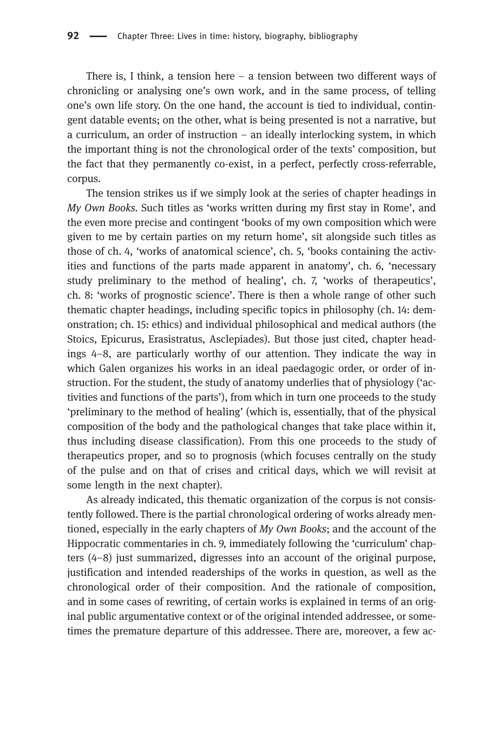There is, I think, a tension here  $-$  a tension between two different ways of chronicling or analysing one's own work, and in the same process, of telling one's own life story. On the one hand, the account is tied to individual, contingent datable events; on the other, what is being presented is not a narrative, but a curriculum, an order of instruction – an ideally interlocking system, in which the important thing is not the chronological order of the texts' composition, but the fact that they permanently co-exist, in a perfect, perfectly cross-referrable, corpus.

The tension strikes us if we simply look at the series of chapter headings in My Own Books. Such titles as 'works written during my first stay in Rome', and the even more precise and contingent 'books of my own composition which were given to me by certain parties on my return home', sit alongside such titles as those of ch. 4, 'works of anatomical science', ch. 5, 'books containing the activities and functions of the parts made apparent in anatomy', ch. 6, 'necessary study preliminary to the method of healing', ch. 7, 'works of therapeutics', ch. 8: 'works of prognostic science'. There is then a whole range of other such thematic chapter headings, including specific topics in philosophy (ch. 14: demonstration; ch. 15: ethics) and individual philosophical and medical authors (the Stoics, Epicurus, Erasistratus, Asclepiades). But those just cited, chapter headings 4–8, are particularly worthy of our attention. They indicate the way in which Galen organizes his works in an ideal paedagogic order, or order of instruction. For the student, the study of anatomy underlies that of physiology ('activities and functions of the parts'), from which in turn one proceeds to the study 'preliminary to the method of healing' (which is, essentially, that of the physical composition of the body and the pathological changes that take place within it, thus including disease classification). From this one proceeds to the study of therapeutics proper, and so to prognosis (which focuses centrally on the study of the pulse and on that of crises and critical days, which we will revisit at some length in the next chapter).

As already indicated, this thematic organization of the corpus is not consistently followed. There is the partial chronological ordering of works already mentioned, especially in the early chapters of My Own Books; and the account of the Hippocratic commentaries in ch. 9, immediately following the 'curriculum' chapters (4–8) just summarized, digresses into an account of the original purpose, justification and intended readerships of the works in question, as well as the chronological order of their composition. And the rationale of composition, and in some cases of rewriting, of certain works is explained in terms of an original public argumentative context or of the original intended addressee, or sometimes the premature departure of this addressee. There are, moreover, a few ac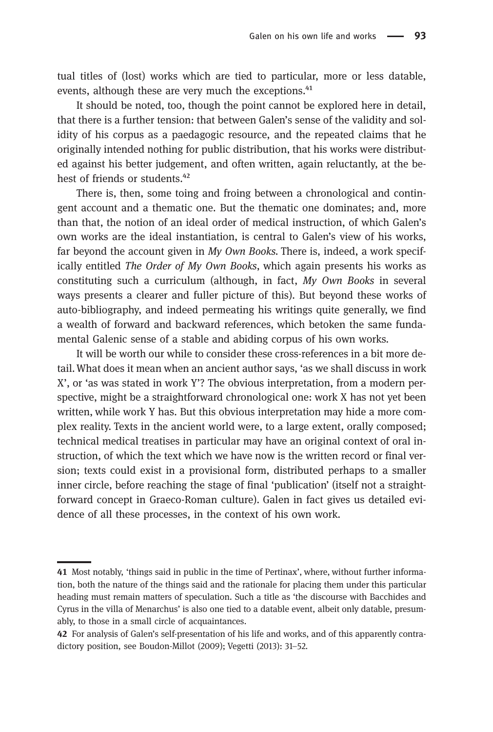tual titles of (lost) works which are tied to particular, more or less datable, events, although these are very much the exceptions.<sup>41</sup>

It should be noted, too, though the point cannot be explored here in detail, that there is a further tension: that between Galen's sense of the validity and solidity of his corpus as a paedagogic resource, and the repeated claims that he originally intended nothing for public distribution, that his works were distributed against his better judgement, and often written, again reluctantly, at the behest of friends or students.<sup>42</sup>

There is, then, some toing and froing between a chronological and contingent account and a thematic one. But the thematic one dominates; and, more than that, the notion of an ideal order of medical instruction, of which Galen's own works are the ideal instantiation, is central to Galen's view of his works, far beyond the account given in  $My$  Own Books. There is, indeed, a work specifically entitled The Order of My Own Books, which again presents his works as constituting such a curriculum (although, in fact,  $My$  Own Books in several ways presents a clearer and fuller picture of this). But beyond these works of auto-bibliography, and indeed permeating his writings quite generally, we find a wealth of forward and backward references, which betoken the same fundamental Galenic sense of a stable and abiding corpus of his own works.

It will be worth our while to consider these cross-references in a bit more detail.What does it mean when an ancient author says, 'as we shall discuss in work X', or 'as was stated in work Y'? The obvious interpretation, from a modern perspective, might be a straightforward chronological one: work X has not yet been written, while work Y has. But this obvious interpretation may hide a more complex reality. Texts in the ancient world were, to a large extent, orally composed; technical medical treatises in particular may have an original context of oral instruction, of which the text which we have now is the written record or final version; texts could exist in a provisional form, distributed perhaps to a smaller inner circle, before reaching the stage of final 'publication' (itself not a straightforward concept in Graeco-Roman culture). Galen in fact gives us detailed evidence of all these processes, in the context of his own work.

<sup>41</sup> Most notably, 'things said in public in the time of Pertinax', where, without further information, both the nature of the things said and the rationale for placing them under this particular heading must remain matters of speculation. Such a title as 'the discourse with Bacchides and Cyrus in the villa of Menarchus' is also one tied to a datable event, albeit only datable, presumably, to those in a small circle of acquaintances.

<sup>42</sup> For analysis of Galen's self-presentation of his life and works, and of this apparently contradictory position, see Boudon-Millot (2009); Vegetti (2013): 31–52.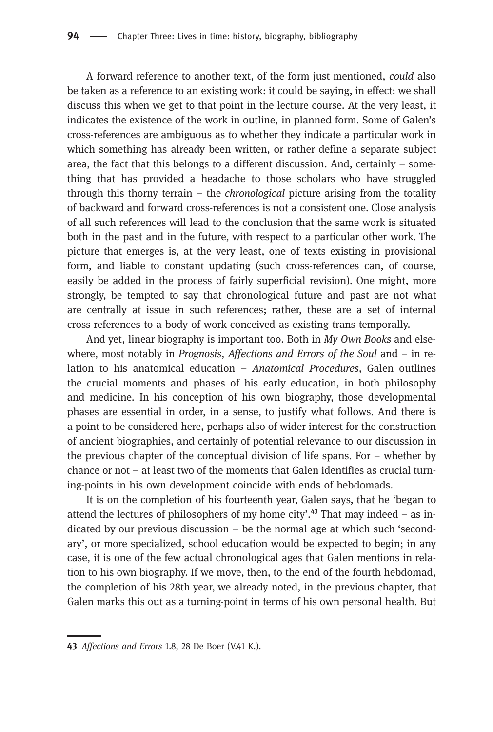A forward reference to another text, of the form just mentioned, could also be taken as a reference to an existing work: it could be saying, in effect: we shall discuss this when we get to that point in the lecture course. At the very least, it indicates the existence of the work in outline, in planned form. Some of Galen's cross-references are ambiguous as to whether they indicate a particular work in which something has already been written, or rather define a separate subject area, the fact that this belongs to a different discussion. And, certainly – something that has provided a headache to those scholars who have struggled through this thorny terrain – the chronological picture arising from the totality of backward and forward cross-references is not a consistent one. Close analysis of all such references will lead to the conclusion that the same work is situated both in the past and in the future, with respect to a particular other work. The picture that emerges is, at the very least, one of texts existing in provisional form, and liable to constant updating (such cross-references can, of course, easily be added in the process of fairly superficial revision). One might, more strongly, be tempted to say that chronological future and past are not what are centrally at issue in such references; rather, these are a set of internal cross-references to a body of work conceived as existing trans-temporally.

And yet, linear biography is important too. Both in  $My$  Own Books and elsewhere, most notably in *Prognosis*, *Affections and Errors of the Soul* and  $-$  in relation to his anatomical education – Anatomical Procedures, Galen outlines the crucial moments and phases of his early education, in both philosophy and medicine. In his conception of his own biography, those developmental phases are essential in order, in a sense, to justify what follows. And there is a point to be considered here, perhaps also of wider interest for the construction of ancient biographies, and certainly of potential relevance to our discussion in the previous chapter of the conceptual division of life spans. For – whether by chance or not – at least two of the moments that Galen identifies as crucial turning-points in his own development coincide with ends of hebdomads.

It is on the completion of his fourteenth year, Galen says, that he 'began to attend the lectures of philosophers of my home city'.<sup>43</sup> That may indeed – as indicated by our previous discussion – be the normal age at which such 'secondary', or more specialized, school education would be expected to begin; in any case, it is one of the few actual chronological ages that Galen mentions in relation to his own biography. If we move, then, to the end of the fourth hebdomad, the completion of his 28th year, we already noted, in the previous chapter, that Galen marks this out as a turning-point in terms of his own personal health. But

<sup>43</sup> Affections and Errors 1.8, 28 De Boer (V.41 K.).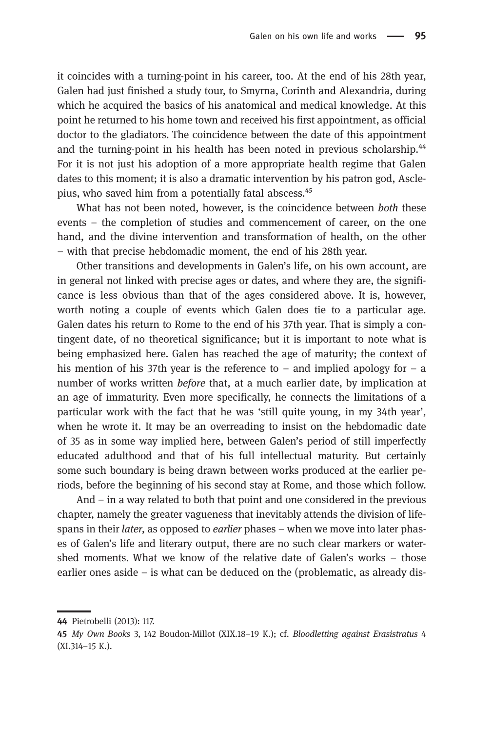it coincides with a turning-point in his career, too. At the end of his 28th year, Galen had just finished a study tour, to Smyrna, Corinth and Alexandria, during which he acquired the basics of his anatomical and medical knowledge. At this point he returned to his home town and received his first appointment, as official doctor to the gladiators. The coincidence between the date of this appointment and the turning-point in his health has been noted in previous scholarship.<sup>44</sup> For it is not just his adoption of a more appropriate health regime that Galen dates to this moment; it is also a dramatic intervention by his patron god, Asclepius, who saved him from a potentially fatal abscess.<sup>45</sup>

What has not been noted, however, is the coincidence between both these events – the completion of studies and commencement of career, on the one hand, and the divine intervention and transformation of health, on the other – with that precise hebdomadic moment, the end of his 28th year.

Other transitions and developments in Galen's life, on his own account, are in general not linked with precise ages or dates, and where they are, the significance is less obvious than that of the ages considered above. It is, however, worth noting a couple of events which Galen does tie to a particular age. Galen dates his return to Rome to the end of his 37th year. That is simply a contingent date, of no theoretical significance; but it is important to note what is being emphasized here. Galen has reached the age of maturity; the context of his mention of his 37th year is the reference to – and implied apology for – a number of works written *before* that, at a much earlier date, by implication at an age of immaturity. Even more specifically, he connects the limitations of a particular work with the fact that he was 'still quite young, in my 34th year', when he wrote it. It may be an overreading to insist on the hebdomadic date of 35 as in some way implied here, between Galen's period of still imperfectly educated adulthood and that of his full intellectual maturity. But certainly some such boundary is being drawn between works produced at the earlier periods, before the beginning of his second stay at Rome, and those which follow.

And – in a way related to both that point and one considered in the previous chapter, namely the greater vagueness that inevitably attends the division of lifespans in their *later*, as opposed to *earlier* phases – when we move into later phases of Galen's life and literary output, there are no such clear markers or watershed moments. What we know of the relative date of Galen's works – those earlier ones aside – is what can be deduced on the (problematic, as already dis-

Pietrobelli (2013): 117.

<sup>45</sup> My Own Books 3, 142 Boudon-Millot (XIX.18-19 K.); cf. Bloodletting against Erasistratus 4 (XI.314–15 K.).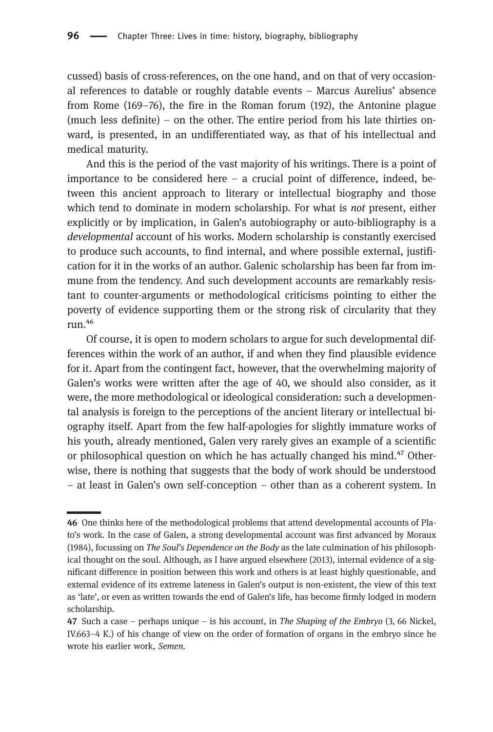cussed) basis of cross-references, on the one hand, and on that of very occasional references to datable or roughly datable events – Marcus Aurelius' absence from Rome (169–76), the fire in the Roman forum (192), the Antonine plague (much less definite) – on the other. The entire period from his late thirties onward, is presented, in an undifferentiated way, as that of his intellectual and medical maturity.

And this is the period of the vast majority of his writings. There is a point of importance to be considered here – a crucial point of difference, indeed, between this ancient approach to literary or intellectual biography and those which tend to dominate in modern scholarship. For what is *not* present, either explicitly or by implication, in Galen's autobiography or auto-bibliography is a developmental account of his works. Modern scholarship is constantly exercised to produce such accounts, to find internal, and where possible external, justification for it in the works of an author. Galenic scholarship has been far from immune from the tendency. And such development accounts are remarkably resistant to counter-arguments or methodological criticisms pointing to either the poverty of evidence supporting them or the strong risk of circularity that they run.<sup>46</sup>

Of course, it is open to modern scholars to argue for such developmental differences within the work of an author, if and when they find plausible evidence for it. Apart from the contingent fact, however, that the overwhelming majority of Galen's works were written after the age of 40, we should also consider, as it were, the more methodological or ideological consideration: such a developmental analysis is foreign to the perceptions of the ancient literary or intellectual biography itself. Apart from the few half-apologies for slightly immature works of his youth, already mentioned, Galen very rarely gives an example of a scientific or philosophical question on which he has actually changed his mind.<sup>47</sup> Otherwise, there is nothing that suggests that the body of work should be understood – at least in Galen's own self-conception – other than as a coherent system. In

<sup>46</sup> One thinks here of the methodological problems that attend developmental accounts of Plato's work. In the case of Galen, a strong developmental account was first advanced by Moraux (1984), focussing on The Soul's Dependence on the Body as the late culmination of his philosophical thought on the soul. Although, as I have argued elsewhere (2013), internal evidence of a significant difference in position between this work and others is at least highly questionable, and external evidence of its extreme lateness in Galen's output is non-existent, the view of this text as 'late', or even as written towards the end of Galen's life, has become firmly lodged in modern scholarship.

<sup>47</sup> Such a case – perhaps unique – is his account, in *The Shaping of the Embryo*  $(3, 66$  Nickel, IV.663–4 K.) of his change of view on the order of formation of organs in the embryo since he wrote his earlier work, Semen.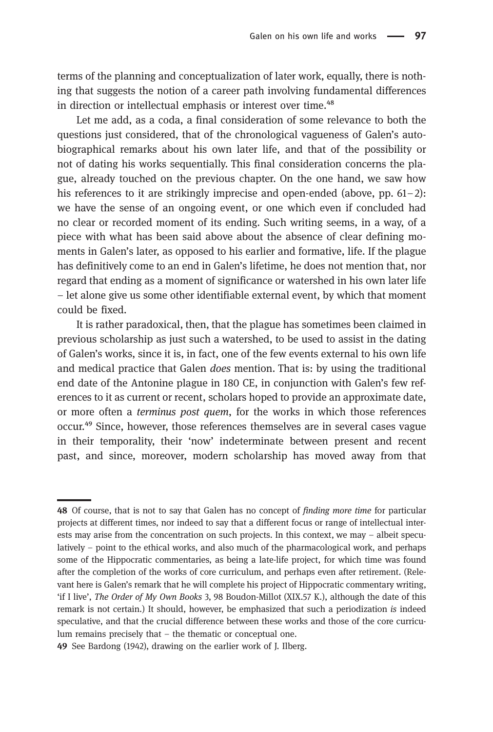terms of the planning and conceptualization of later work, equally, there is nothing that suggests the notion of a career path involving fundamental differences in direction or intellectual emphasis or interest over time.<sup>48</sup>

Let me add, as a coda, a final consideration of some relevance to both the questions just considered, that of the chronological vagueness of Galen's autobiographical remarks about his own later life, and that of the possibility or not of dating his works sequentially. This final consideration concerns the plague, already touched on the previous chapter. On the one hand, we saw how his references to it are strikingly imprecise and open-ended (above, pp.  $61-2$ ): we have the sense of an ongoing event, or one which even if concluded had no clear or recorded moment of its ending. Such writing seems, in a way, of a piece with what has been said above about the absence of clear defining moments in Galen's later, as opposed to his earlier and formative, life. If the plague has definitively come to an end in Galen's lifetime, he does not mention that, nor regard that ending as a moment of significance or watershed in his own later life – let alone give us some other identifiable external event, by which that moment could be fixed.

It is rather paradoxical, then, that the plague has sometimes been claimed in previous scholarship as just such a watershed, to be used to assist in the dating of Galen's works, since it is, in fact, one of the few events external to his own life and medical practice that Galen does mention. That is: by using the traditional end date of the Antonine plague in 180 CE, in conjunction with Galen's few references to it as current or recent, scholars hoped to provide an approximate date, or more often a terminus post quem, for the works in which those references occur.<sup>49</sup> Since, however, those references themselves are in several cases vague in their temporality, their 'now' indeterminate between present and recent past, and since, moreover, modern scholarship has moved away from that

<sup>48</sup> Of course, that is not to say that Galen has no concept of *finding more time* for particular projects at different times, nor indeed to say that a different focus or range of intellectual interests may arise from the concentration on such projects. In this context, we may – albeit speculatively – point to the ethical works, and also much of the pharmacological work, and perhaps some of the Hippocratic commentaries, as being a late-life project, for which time was found after the completion of the works of core curriculum, and perhaps even after retirement. (Relevant here is Galen's remark that he will complete his project of Hippocratic commentary writing, 'if I live', The Order of My Own Books 3, 98 Boudon-Millot (XIX.57 K.), although the date of this remark is not certain.) It should, however, be emphasized that such a periodization is indeed speculative, and that the crucial difference between these works and those of the core curriculum remains precisely that – the thematic or conceptual one.

<sup>49</sup> See Bardong (1942), drawing on the earlier work of J. Ilberg.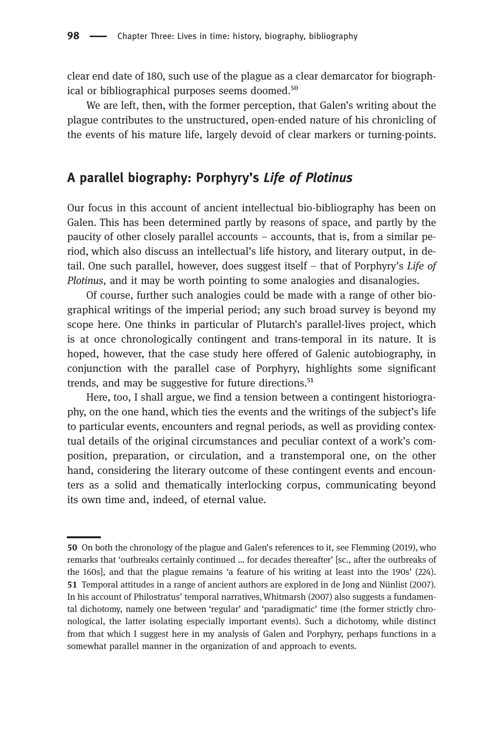clear end date of 180, such use of the plague as a clear demarcator for biographical or bibliographical purposes seems doomed.<sup>50</sup>

We are left, then, with the former perception, that Galen's writing about the plague contributes to the unstructured, open-ended nature of his chronicling of the events of his mature life, largely devoid of clear markers or turning-points.

# A parallel biography: Porphyry's Life of Plotinus

Our focus in this account of ancient intellectual bio-bibliography has been on Galen. This has been determined partly by reasons of space, and partly by the paucity of other closely parallel accounts – accounts, that is, from a similar period, which also discuss an intellectual's life history, and literary output, in detail. One such parallel, however, does suggest itself – that of Porphyry's Life of Plotinus, and it may be worth pointing to some analogies and disanalogies.

Of course, further such analogies could be made with a range of other biographical writings of the imperial period; any such broad survey is beyond my scope here. One thinks in particular of Plutarch's parallel-lives project, which is at once chronologically contingent and trans-temporal in its nature. It is hoped, however, that the case study here offered of Galenic autobiography, in conjunction with the parallel case of Porphyry, highlights some significant trends, and may be suggestive for future directions.<sup>51</sup>

Here, too, I shall argue, we find a tension between a contingent historiography, on the one hand, which ties the events and the writings of the subject's life to particular events, encounters and regnal periods, as well as providing contextual details of the original circumstances and peculiar context of a work's composition, preparation, or circulation, and a transtemporal one, on the other hand, considering the literary outcome of these contingent events and encounters as a solid and thematically interlocking corpus, communicating beyond its own time and, indeed, of eternal value.

<sup>50</sup> On both the chronology of the plague and Galen's references to it, see Flemming (2019), who remarks that 'outbreaks certainly continued … for decades thereafter' [sc., after the outbreaks of the 160s], and that the plague remains 'a feature of his writing at least into the 190s' (224). 51 Temporal attitudes in a range of ancient authors are explored in de Jong and Nünlist (2007). In his account of Philostratus' temporal narratives,Whitmarsh (2007) also suggests a fundamental dichotomy, namely one between 'regular' and 'paradigmatic' time (the former strictly chronological, the latter isolating especially important events). Such a dichotomy, while distinct from that which I suggest here in my analysis of Galen and Porphyry, perhaps functions in a somewhat parallel manner in the organization of and approach to events.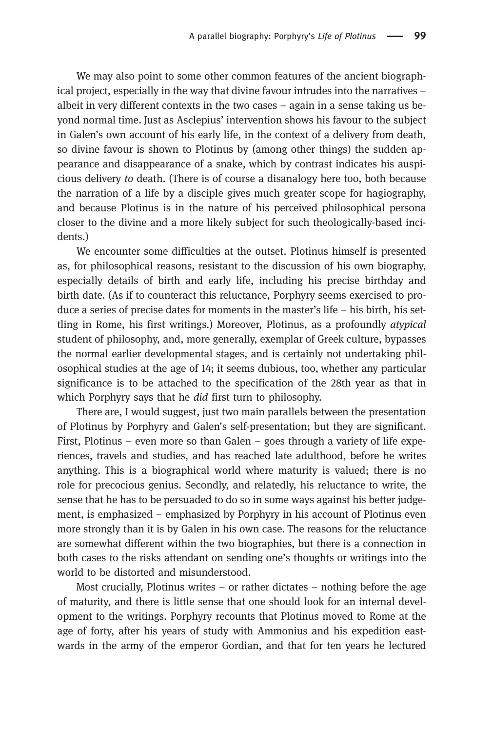We may also point to some other common features of the ancient biographical project, especially in the way that divine favour intrudes into the narratives – albeit in very different contexts in the two cases – again in a sense taking us beyond normal time. Just as Asclepius' intervention shows his favour to the subject in Galen's own account of his early life, in the context of a delivery from death, so divine favour is shown to Plotinus by (among other things) the sudden appearance and disappearance of a snake, which by contrast indicates his auspicious delivery to death. (There is of course a disanalogy here too, both because the narration of a life by a disciple gives much greater scope for hagiography, and because Plotinus is in the nature of his perceived philosophical persona closer to the divine and a more likely subject for such theologically-based incidents.)

We encounter some difficulties at the outset. Plotinus himself is presented as, for philosophical reasons, resistant to the discussion of his own biography, especially details of birth and early life, including his precise birthday and birth date. (As if to counteract this reluctance, Porphyry seems exercised to produce a series of precise dates for moments in the master's life – his birth, his settling in Rome, his first writings.) Moreover, Plotinus, as a profoundly atypical student of philosophy, and, more generally, exemplar of Greek culture, bypasses the normal earlier developmental stages, and is certainly not undertaking philosophical studies at the age of 14; it seems dubious, too, whether any particular significance is to be attached to the specification of the 28th year as that in which Porphyry says that he *did* first turn to philosophy.

There are, I would suggest, just two main parallels between the presentation of Plotinus by Porphyry and Galen's self-presentation; but they are significant. First, Plotinus – even more so than Galen – goes through a variety of life experiences, travels and studies, and has reached late adulthood, before he writes anything. This is a biographical world where maturity is valued; there is no role for precocious genius. Secondly, and relatedly, his reluctance to write, the sense that he has to be persuaded to do so in some ways against his better judgement, is emphasized – emphasized by Porphyry in his account of Plotinus even more strongly than it is by Galen in his own case. The reasons for the reluctance are somewhat different within the two biographies, but there is a connection in both cases to the risks attendant on sending one's thoughts or writings into the world to be distorted and misunderstood.

Most crucially, Plotinus writes – or rather dictates – nothing before the age of maturity, and there is little sense that one should look for an internal development to the writings. Porphyry recounts that Plotinus moved to Rome at the age of forty, after his years of study with Ammonius and his expedition eastwards in the army of the emperor Gordian, and that for ten years he lectured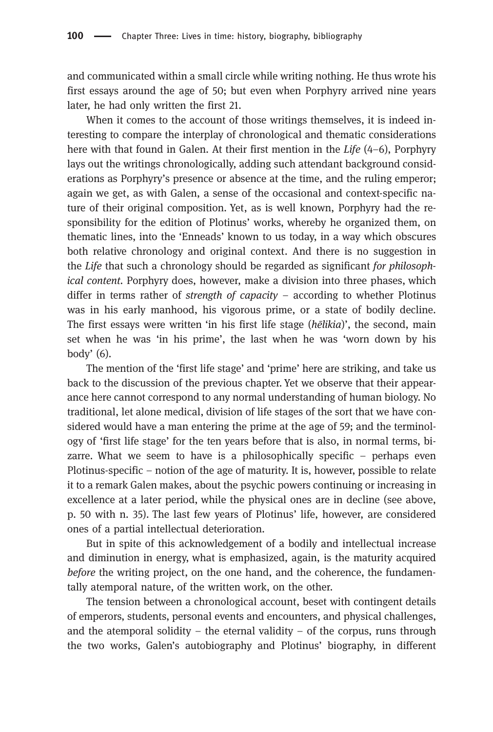and communicated within a small circle while writing nothing. He thus wrote his first essays around the age of 50; but even when Porphyry arrived nine years later, he had only written the first 21.

When it comes to the account of those writings themselves, it is indeed interesting to compare the interplay of chronological and thematic considerations here with that found in Galen. At their first mention in the Life (4–6), Porphyry lays out the writings chronologically, adding such attendant background considerations as Porphyry's presence or absence at the time, and the ruling emperor; again we get, as with Galen, a sense of the occasional and context-specific nature of their original composition. Yet, as is well known, Porphyry had the responsibility for the edition of Plotinus' works, whereby he organized them, on thematic lines, into the 'Enneads' known to us today, in a way which obscures both relative chronology and original context. And there is no suggestion in the Life that such a chronology should be regarded as significant for philosophical content. Porphyry does, however, make a division into three phases, which differ in terms rather of *strength of capacity –* according to whether Plotinus was in his early manhood, his vigorous prime, or a state of bodily decline. The first essays were written 'in his first life stage (hēlikia)', the second, main set when he was 'in his prime', the last when he was 'worn down by his body' (6).

The mention of the 'first life stage' and 'prime' here are striking, and take us back to the discussion of the previous chapter. Yet we observe that their appearance here cannot correspond to any normal understanding of human biology. No traditional, let alone medical, division of life stages of the sort that we have considered would have a man entering the prime at the age of 59; and the terminology of 'first life stage' for the ten years before that is also, in normal terms, bizarre. What we seem to have is a philosophically specific – perhaps even Plotinus-specific – notion of the age of maturity. It is, however, possible to relate it to a remark Galen makes, about the psychic powers continuing or increasing in excellence at a later period, while the physical ones are in decline (see above, p. 50 with n. 35). The last few years of Plotinus' life, however, are considered ones of a partial intellectual deterioration.

But in spite of this acknowledgement of a bodily and intellectual increase and diminution in energy, what is emphasized, again, is the maturity acquired before the writing project, on the one hand, and the coherence, the fundamentally atemporal nature, of the written work, on the other.

The tension between a chronological account, beset with contingent details of emperors, students, personal events and encounters, and physical challenges, and the atemporal solidity – the eternal validity – of the corpus, runs through the two works, Galen's autobiography and Plotinus' biography, in different